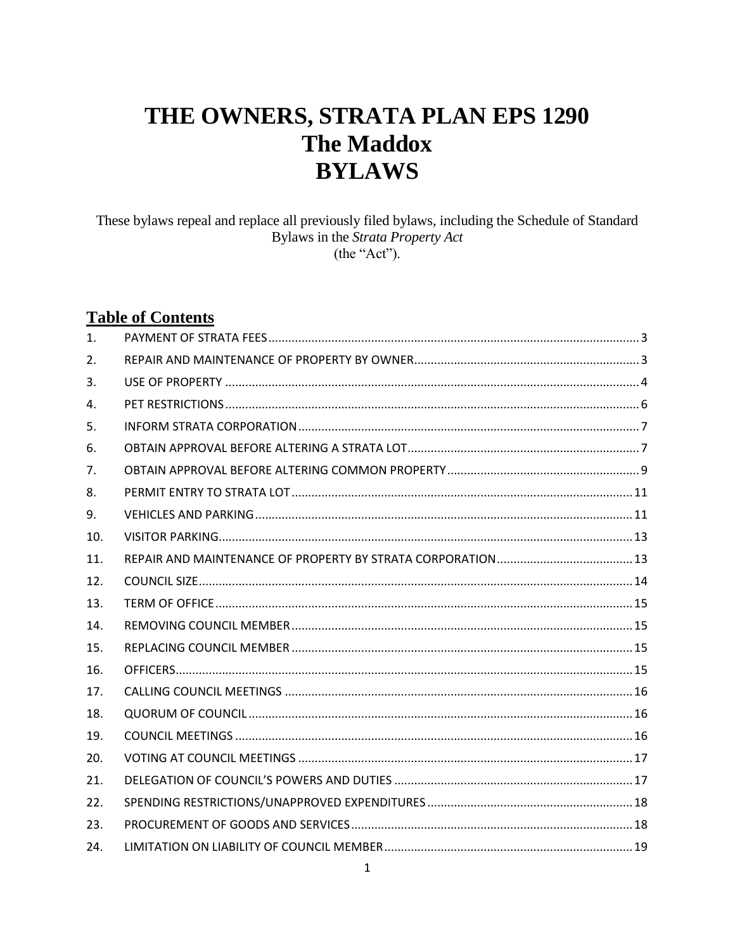# THE OWNERS, STRATA PLAN EPS 1290 **The Maddox BYLAWS**

These bylaws repeal and replace all previously filed bylaws, including the Schedule of Standard Bylaws in the Strata Property Act (the "Act").

# **Table of Contents**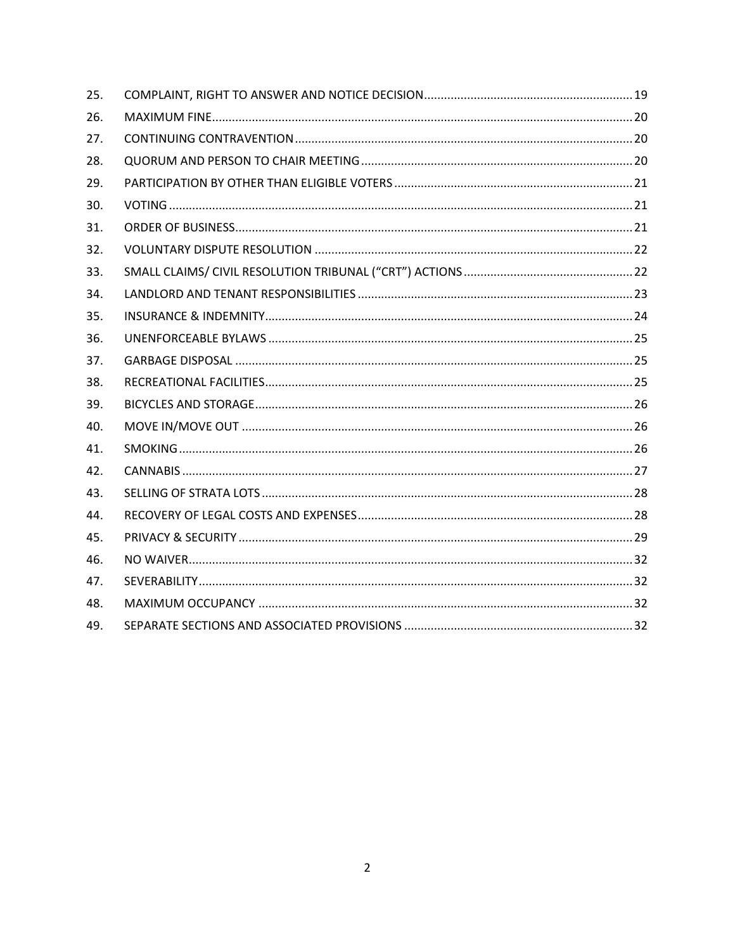| 25. |  |
|-----|--|
| 26. |  |
| 27. |  |
| 28. |  |
| 29. |  |
| 30. |  |
| 31. |  |
| 32. |  |
| 33. |  |
| 34. |  |
| 35. |  |
| 36. |  |
| 37. |  |
| 38. |  |
| 39. |  |
| 40. |  |
| 41. |  |
| 42. |  |
| 43. |  |
| 44. |  |
| 45. |  |
| 46. |  |
| 47. |  |
| 48. |  |
| 49. |  |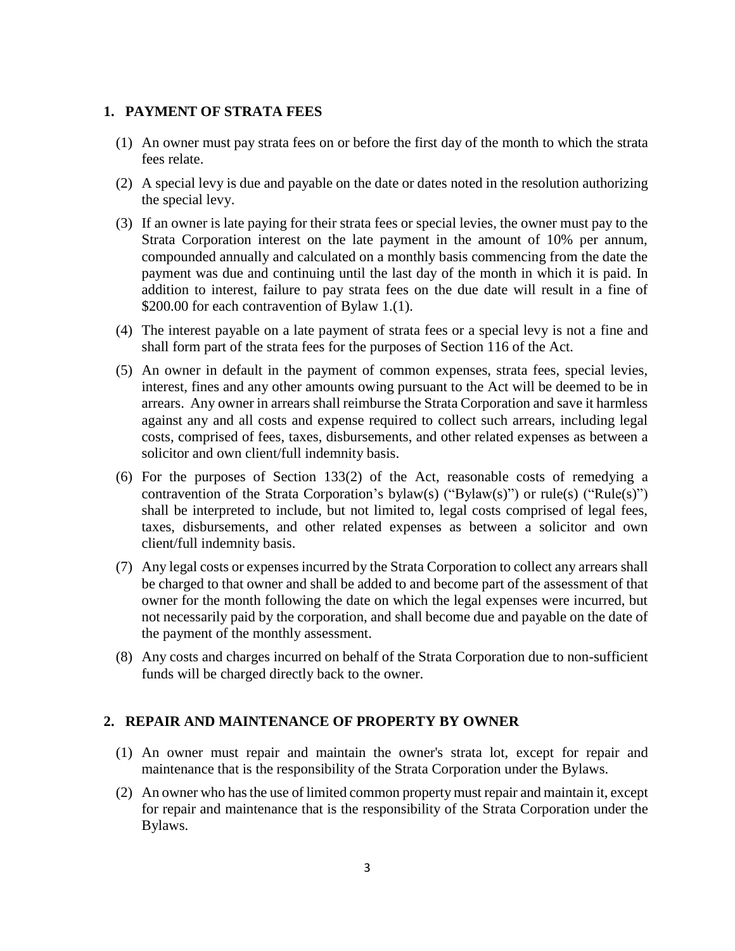#### **1. PAYMENT OF STRATA FEES**

- (1) An owner must pay strata fees on or before the first day of the month to which the strata fees relate.
- (2) A special levy is due and payable on the date or dates noted in the resolution authorizing the special levy.
- (3) If an owner is late paying for their strata fees or special levies, the owner must pay to the Strata Corporation interest on the late payment in the amount of 10% per annum, compounded annually and calculated on a monthly basis commencing from the date the payment was due and continuing until the last day of the month in which it is paid. In addition to interest, failure to pay strata fees on the due date will result in a fine of \$200.00 for each contravention of Bylaw 1.(1).
- (4) The interest payable on a late payment of strata fees or a special levy is not a fine and shall form part of the strata fees for the purposes of Section 116 of the Act.
- (5) An owner in default in the payment of common expenses, strata fees, special levies, interest, fines and any other amounts owing pursuant to the Act will be deemed to be in arrears. Any owner in arrears shall reimburse the Strata Corporation and save it harmless against any and all costs and expense required to collect such arrears, including legal costs, comprised of fees, taxes, disbursements, and other related expenses as between a solicitor and own client/full indemnity basis.
- (6) For the purposes of Section 133(2) of the Act, reasonable costs of remedying a contravention of the Strata Corporation's bylaw(s) ("Bylaw(s)") or rule(s) ("Rule(s)") shall be interpreted to include, but not limited to, legal costs comprised of legal fees, taxes, disbursements, and other related expenses as between a solicitor and own client/full indemnity basis.
- (7) Any legal costs or expenses incurred by the Strata Corporation to collect any arrears shall be charged to that owner and shall be added to and become part of the assessment of that owner for the month following the date on which the legal expenses were incurred, but not necessarily paid by the corporation, and shall become due and payable on the date of the payment of the monthly assessment.
- (8) Any costs and charges incurred on behalf of the Strata Corporation due to non-sufficient funds will be charged directly back to the owner.

#### **2. REPAIR AND MAINTENANCE OF PROPERTY BY OWNER**

- (1) An owner must repair and maintain the owner's strata lot, except for repair and maintenance that is the responsibility of the Strata Corporation under the Bylaws.
- (2) An owner who hasthe use of limited common property must repair and maintain it, except for repair and maintenance that is the responsibility of the Strata Corporation under the Bylaws.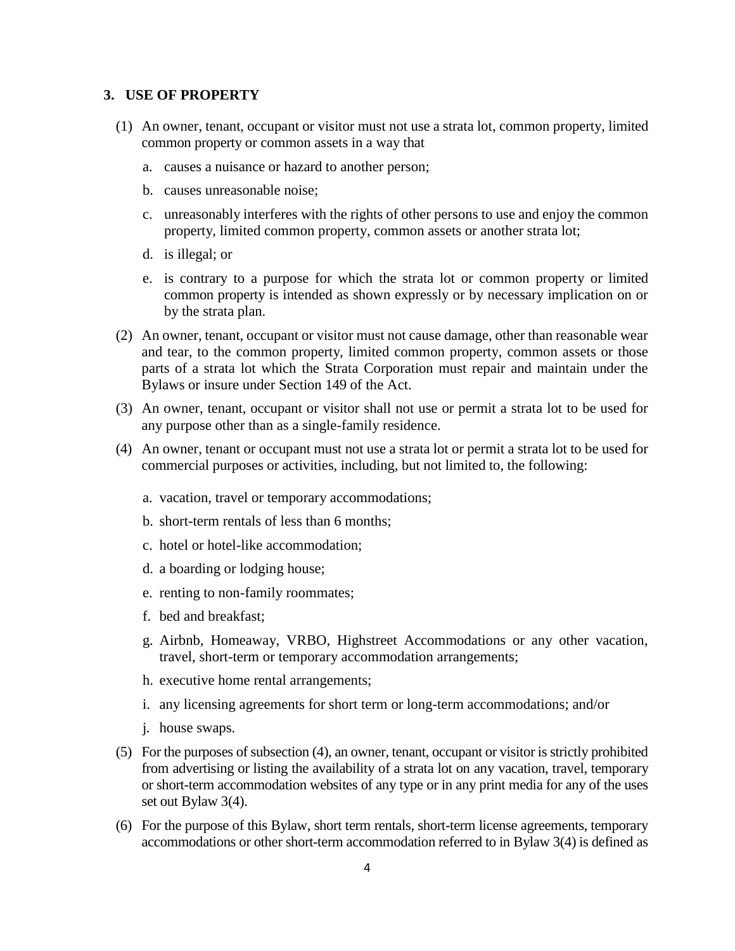#### **3. USE OF PROPERTY**

- (1) An owner, tenant, occupant or visitor must not use a strata lot, common property, limited common property or common assets in a way that
	- a. causes a nuisance or hazard to another person;
	- b. causes unreasonable noise;
	- c. unreasonably interferes with the rights of other persons to use and enjoy the common property, limited common property, common assets or another strata lot;
	- d. is illegal; or
	- e. is contrary to a purpose for which the strata lot or common property or limited common property is intended as shown expressly or by necessary implication on or by the strata plan.
- (2) An owner, tenant, occupant or visitor must not cause damage, other than reasonable wear and tear, to the common property, limited common property, common assets or those parts of a strata lot which the Strata Corporation must repair and maintain under the Bylaws or insure under Section 149 of the Act.
- (3) An owner, tenant, occupant or visitor shall not use or permit a strata lot to be used for any purpose other than as a single-family residence.
- (4) An owner, tenant or occupant must not use a strata lot or permit a strata lot to be used for commercial purposes or activities, including, but not limited to, the following:
	- a. vacation, travel or temporary accommodations;
	- b. short-term rentals of less than 6 months;
	- c. hotel or hotel-like accommodation;
	- d. a boarding or lodging house;
	- e. renting to non-family roommates;
	- f. bed and breakfast;
	- g. Airbnb, Homeaway, VRBO, Highstreet Accommodations or any other vacation, travel, short-term or temporary accommodation arrangements;
	- h. executive home rental arrangements;
	- i. any licensing agreements for short term or long-term accommodations; and/or
	- j. house swaps.
- (5) For the purposes of subsection (4), an owner, tenant, occupant or visitor is strictly prohibited from advertising or listing the availability of a strata lot on any vacation, travel, temporary or short-term accommodation websites of any type or in any print media for any of the uses set out Bylaw 3(4).
- (6) For the purpose of this Bylaw, short term rentals, short-term license agreements, temporary accommodations or other short-term accommodation referred to in Bylaw 3(4) is defined as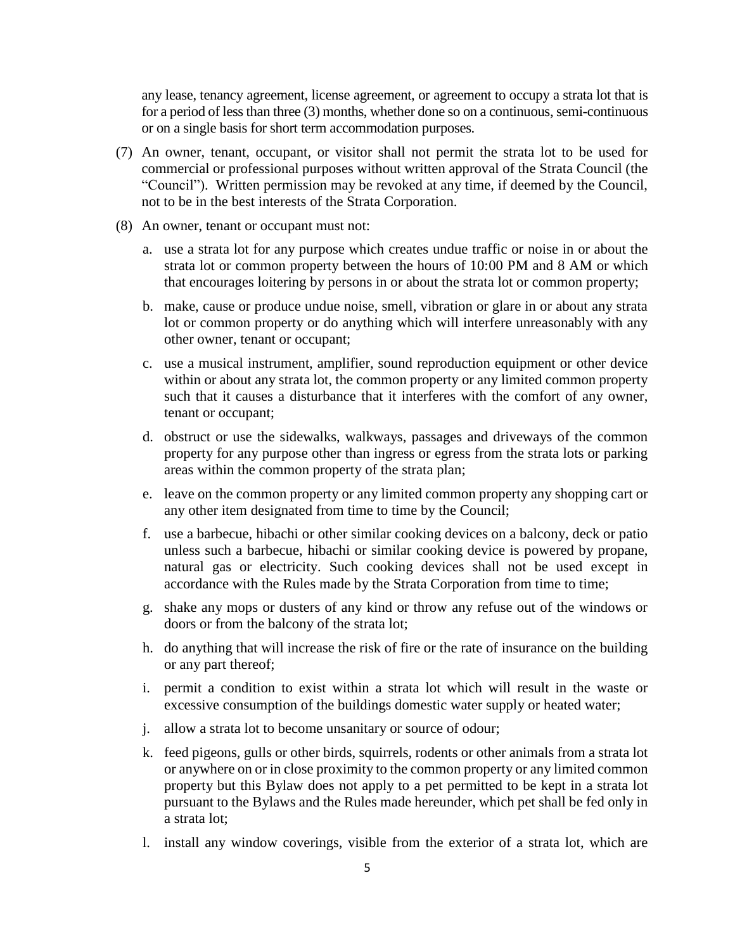any lease, tenancy agreement, license agreement, or agreement to occupy a strata lot that is for a period of less than three (3) months, whether done so on a continuous, semi-continuous or on a single basis for short term accommodation purposes.

- (7) An owner, tenant, occupant, or visitor shall not permit the strata lot to be used for commercial or professional purposes without written approval of the Strata Council (the "Council"). Written permission may be revoked at any time, if deemed by the Council, not to be in the best interests of the Strata Corporation.
- (8) An owner, tenant or occupant must not:
	- a. use a strata lot for any purpose which creates undue traffic or noise in or about the strata lot or common property between the hours of 10:00 PM and 8 AM or which that encourages loitering by persons in or about the strata lot or common property;
	- b. make, cause or produce undue noise, smell, vibration or glare in or about any strata lot or common property or do anything which will interfere unreasonably with any other owner, tenant or occupant;
	- c. use a musical instrument, amplifier, sound reproduction equipment or other device within or about any strata lot, the common property or any limited common property such that it causes a disturbance that it interferes with the comfort of any owner, tenant or occupant;
	- d. obstruct or use the sidewalks, walkways, passages and driveways of the common property for any purpose other than ingress or egress from the strata lots or parking areas within the common property of the strata plan;
	- e. leave on the common property or any limited common property any shopping cart or any other item designated from time to time by the Council;
	- f. use a barbecue, hibachi or other similar cooking devices on a balcony, deck or patio unless such a barbecue, hibachi or similar cooking device is powered by propane, natural gas or electricity. Such cooking devices shall not be used except in accordance with the Rules made by the Strata Corporation from time to time;
	- g. shake any mops or dusters of any kind or throw any refuse out of the windows or doors or from the balcony of the strata lot;
	- h. do anything that will increase the risk of fire or the rate of insurance on the building or any part thereof;
	- i. permit a condition to exist within a strata lot which will result in the waste or excessive consumption of the buildings domestic water supply or heated water;
	- j. allow a strata lot to become unsanitary or source of odour;
	- k. feed pigeons, gulls or other birds, squirrels, rodents or other animals from a strata lot or anywhere on or in close proximity to the common property or any limited common property but this Bylaw does not apply to a pet permitted to be kept in a strata lot pursuant to the Bylaws and the Rules made hereunder, which pet shall be fed only in a strata lot;
	- l. install any window coverings, visible from the exterior of a strata lot, which are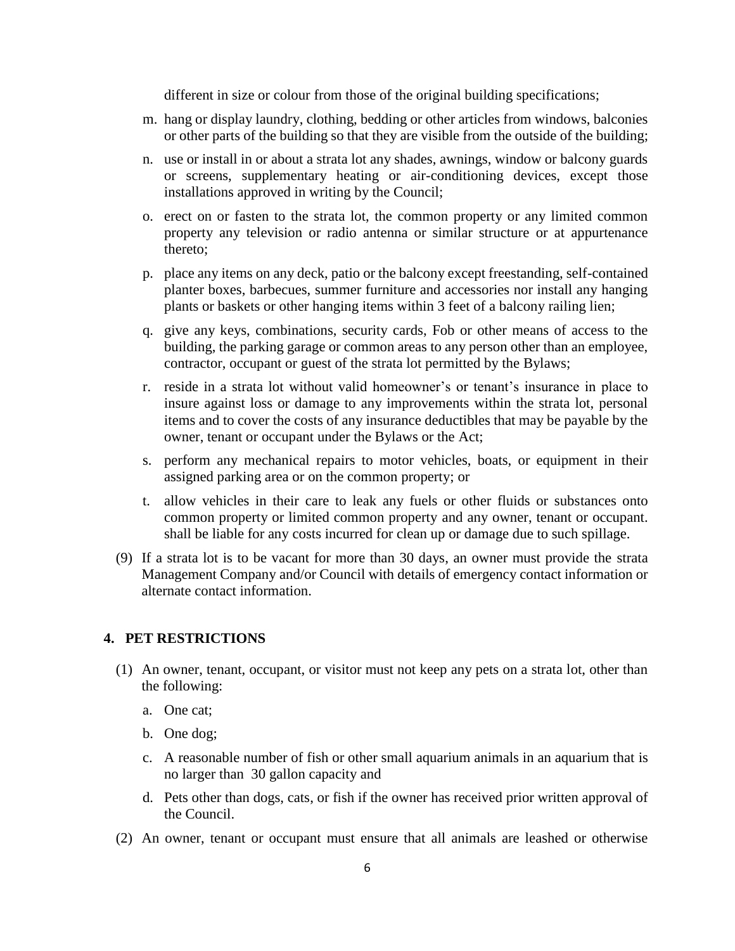different in size or colour from those of the original building specifications;

- m. hang or display laundry, clothing, bedding or other articles from windows, balconies or other parts of the building so that they are visible from the outside of the building;
- n. use or install in or about a strata lot any shades, awnings, window or balcony guards or screens, supplementary heating or air-conditioning devices, except those installations approved in writing by the Council;
- o. erect on or fasten to the strata lot, the common property or any limited common property any television or radio antenna or similar structure or at appurtenance thereto;
- p. place any items on any deck, patio or the balcony except freestanding, self-contained planter boxes, barbecues, summer furniture and accessories nor install any hanging plants or baskets or other hanging items within 3 feet of a balcony railing lien;
- q. give any keys, combinations, security cards, Fob or other means of access to the building, the parking garage or common areas to any person other than an employee, contractor, occupant or guest of the strata lot permitted by the Bylaws;
- r. reside in a strata lot without valid homeowner's or tenant's insurance in place to insure against loss or damage to any improvements within the strata lot, personal items and to cover the costs of any insurance deductibles that may be payable by the owner, tenant or occupant under the Bylaws or the Act;
- s. perform any mechanical repairs to motor vehicles, boats, or equipment in their assigned parking area or on the common property; or
- t. allow vehicles in their care to leak any fuels or other fluids or substances onto common property or limited common property and any owner, tenant or occupant. shall be liable for any costs incurred for clean up or damage due to such spillage.
- (9) If a strata lot is to be vacant for more than 30 days, an owner must provide the strata Management Company and/or Council with details of emergency contact information or alternate contact information.

#### **4. PET RESTRICTIONS**

- (1) An owner, tenant, occupant, or visitor must not keep any pets on a strata lot, other than the following:
	- a. One cat;
	- b. One dog;
	- c. A reasonable number of fish or other small aquarium animals in an aquarium that is no larger than 30 gallon capacity and
	- d. Pets other than dogs, cats, or fish if the owner has received prior written approval of the Council.
- (2) An owner, tenant or occupant must ensure that all animals are leashed or otherwise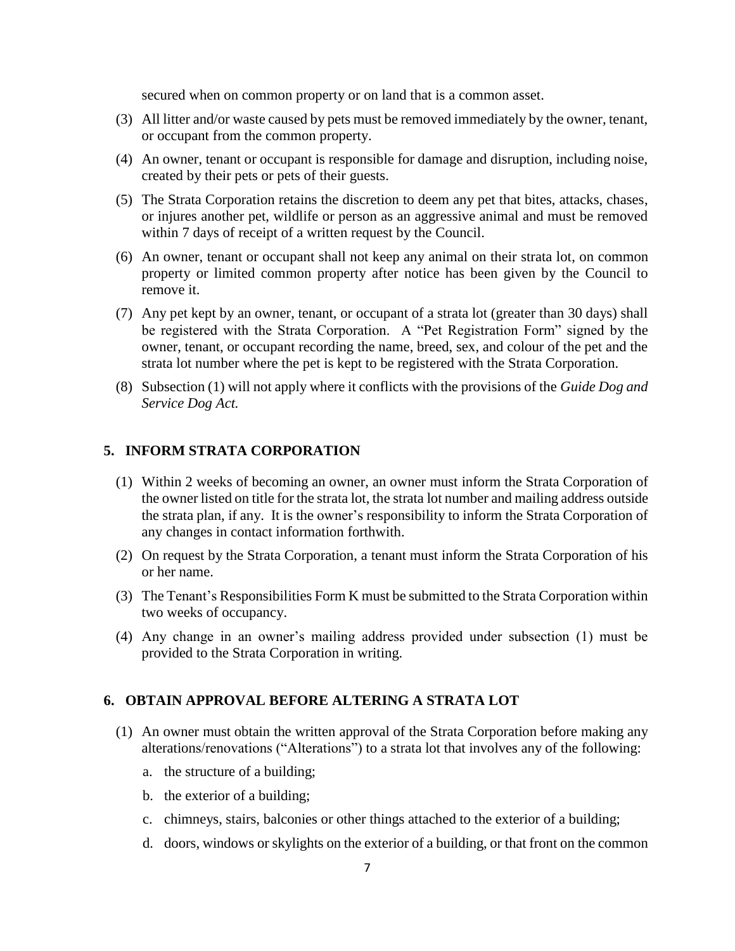secured when on common property or on land that is a common asset.

- (3) All litter and/or waste caused by pets must be removed immediately by the owner, tenant, or occupant from the common property.
- (4) An owner, tenant or occupant is responsible for damage and disruption, including noise, created by their pets or pets of their guests.
- (5) The Strata Corporation retains the discretion to deem any pet that bites, attacks, chases, or injures another pet, wildlife or person as an aggressive animal and must be removed within 7 days of receipt of a written request by the Council.
- (6) An owner, tenant or occupant shall not keep any animal on their strata lot, on common property or limited common property after notice has been given by the Council to remove it.
- (7) Any pet kept by an owner, tenant, or occupant of a strata lot (greater than 30 days) shall be registered with the Strata Corporation. A "Pet Registration Form" signed by the owner, tenant, or occupant recording the name, breed, sex, and colour of the pet and the strata lot number where the pet is kept to be registered with the Strata Corporation.
- (8) Subsection (1) will not apply where it conflicts with the provisions of the *Guide Dog and Service Dog Act.*

#### **5. INFORM STRATA CORPORATION**

- (1) Within 2 weeks of becoming an owner, an owner must inform the Strata Corporation of the owner listed on title for the strata lot, the strata lot number and mailing address outside the strata plan, if any. It is the owner's responsibility to inform the Strata Corporation of any changes in contact information forthwith.
- (2) On request by the Strata Corporation, a tenant must inform the Strata Corporation of his or her name.
- (3) The Tenant's Responsibilities Form K must be submitted to the Strata Corporation within two weeks of occupancy.
- (4) Any change in an owner's mailing address provided under subsection (1) must be provided to the Strata Corporation in writing.

#### **6. OBTAIN APPROVAL BEFORE ALTERING A STRATA LOT**

- (1) An owner must obtain the written approval of the Strata Corporation before making any alterations/renovations ("Alterations") to a strata lot that involves any of the following:
	- a. the structure of a building;
	- b. the exterior of a building;
	- c. chimneys, stairs, balconies or other things attached to the exterior of a building;
	- d. doors, windows or skylights on the exterior of a building, or that front on the common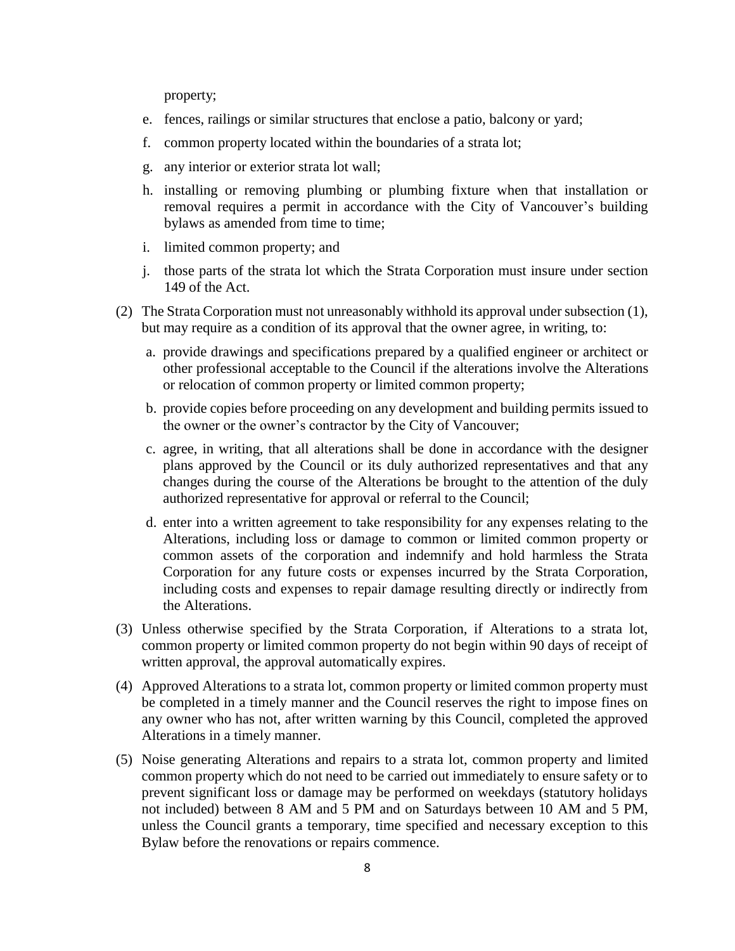property;

- e. fences, railings or similar structures that enclose a patio, balcony or yard;
- f. common property located within the boundaries of a strata lot;
- g. any interior or exterior strata lot wall;
- h. installing or removing plumbing or plumbing fixture when that installation or removal requires a permit in accordance with the City of Vancouver's building bylaws as amended from time to time;
- i. limited common property; and
- j. those parts of the strata lot which the Strata Corporation must insure under section 149 of the Act.
- (2) The Strata Corporation must not unreasonably withhold its approval under subsection (1), but may require as a condition of its approval that the owner agree, in writing, to:
	- a. provide drawings and specifications prepared by a qualified engineer or architect or other professional acceptable to the Council if the alterations involve the Alterations or relocation of common property or limited common property;
	- b. provide copies before proceeding on any development and building permits issued to the owner or the owner's contractor by the City of Vancouver;
	- c. agree, in writing, that all alterations shall be done in accordance with the designer plans approved by the Council or its duly authorized representatives and that any changes during the course of the Alterations be brought to the attention of the duly authorized representative for approval or referral to the Council;
	- d. enter into a written agreement to take responsibility for any expenses relating to the Alterations, including loss or damage to common or limited common property or common assets of the corporation and indemnify and hold harmless the Strata Corporation for any future costs or expenses incurred by the Strata Corporation, including costs and expenses to repair damage resulting directly or indirectly from the Alterations.
- (3) Unless otherwise specified by the Strata Corporation, if Alterations to a strata lot, common property or limited common property do not begin within 90 days of receipt of written approval, the approval automatically expires.
- (4) Approved Alterations to a strata lot, common property or limited common property must be completed in a timely manner and the Council reserves the right to impose fines on any owner who has not, after written warning by this Council, completed the approved Alterations in a timely manner.
- (5) Noise generating Alterations and repairs to a strata lot, common property and limited common property which do not need to be carried out immediately to ensure safety or to prevent significant loss or damage may be performed on weekdays (statutory holidays not included) between 8 AM and 5 PM and on Saturdays between 10 AM and 5 PM, unless the Council grants a temporary, time specified and necessary exception to this Bylaw before the renovations or repairs commence.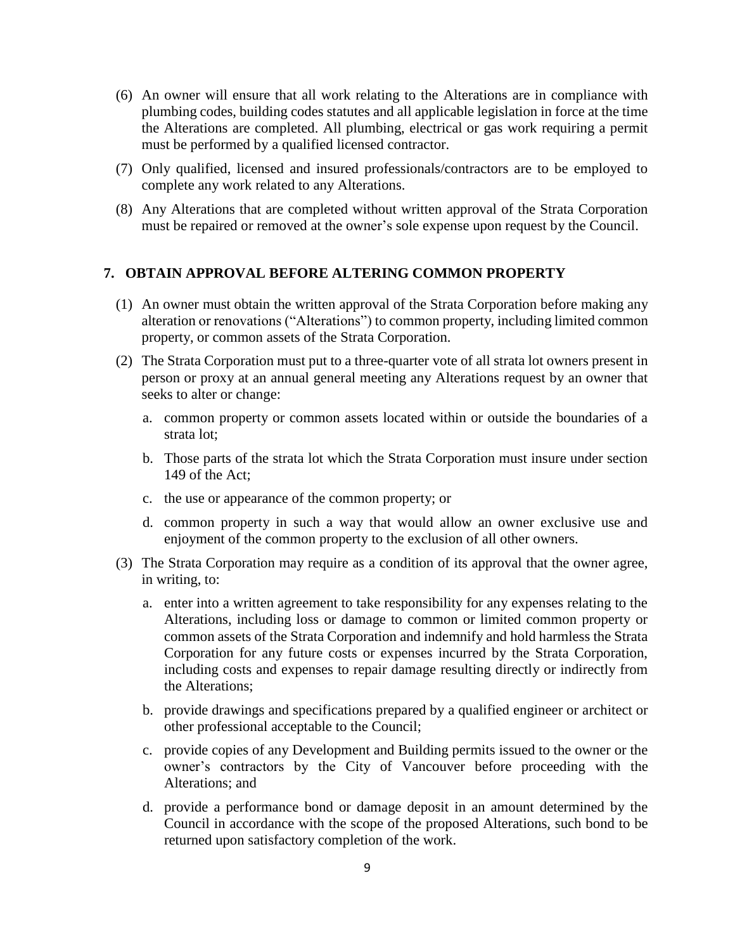- (6) An owner will ensure that all work relating to the Alterations are in compliance with plumbing codes, building codes statutes and all applicable legislation in force at the time the Alterations are completed. All plumbing, electrical or gas work requiring a permit must be performed by a qualified licensed contractor.
- (7) Only qualified, licensed and insured professionals/contractors are to be employed to complete any work related to any Alterations.
- (8) Any Alterations that are completed without written approval of the Strata Corporation must be repaired or removed at the owner's sole expense upon request by the Council.

#### **7. OBTAIN APPROVAL BEFORE ALTERING COMMON PROPERTY**

- (1) An owner must obtain the written approval of the Strata Corporation before making any alteration or renovations ("Alterations") to common property, including limited common property, or common assets of the Strata Corporation.
- (2) The Strata Corporation must put to a three-quarter vote of all strata lot owners present in person or proxy at an annual general meeting any Alterations request by an owner that seeks to alter or change:
	- a. common property or common assets located within or outside the boundaries of a strata lot;
	- b. Those parts of the strata lot which the Strata Corporation must insure under section 149 of the Act;
	- c. the use or appearance of the common property; or
	- d. common property in such a way that would allow an owner exclusive use and enjoyment of the common property to the exclusion of all other owners.
- (3) The Strata Corporation may require as a condition of its approval that the owner agree, in writing, to:
	- a. enter into a written agreement to take responsibility for any expenses relating to the Alterations, including loss or damage to common or limited common property or common assets of the Strata Corporation and indemnify and hold harmless the Strata Corporation for any future costs or expenses incurred by the Strata Corporation, including costs and expenses to repair damage resulting directly or indirectly from the Alterations;
	- b. provide drawings and specifications prepared by a qualified engineer or architect or other professional acceptable to the Council;
	- c. provide copies of any Development and Building permits issued to the owner or the owner's contractors by the City of Vancouver before proceeding with the Alterations; and
	- d. provide a performance bond or damage deposit in an amount determined by the Council in accordance with the scope of the proposed Alterations, such bond to be returned upon satisfactory completion of the work.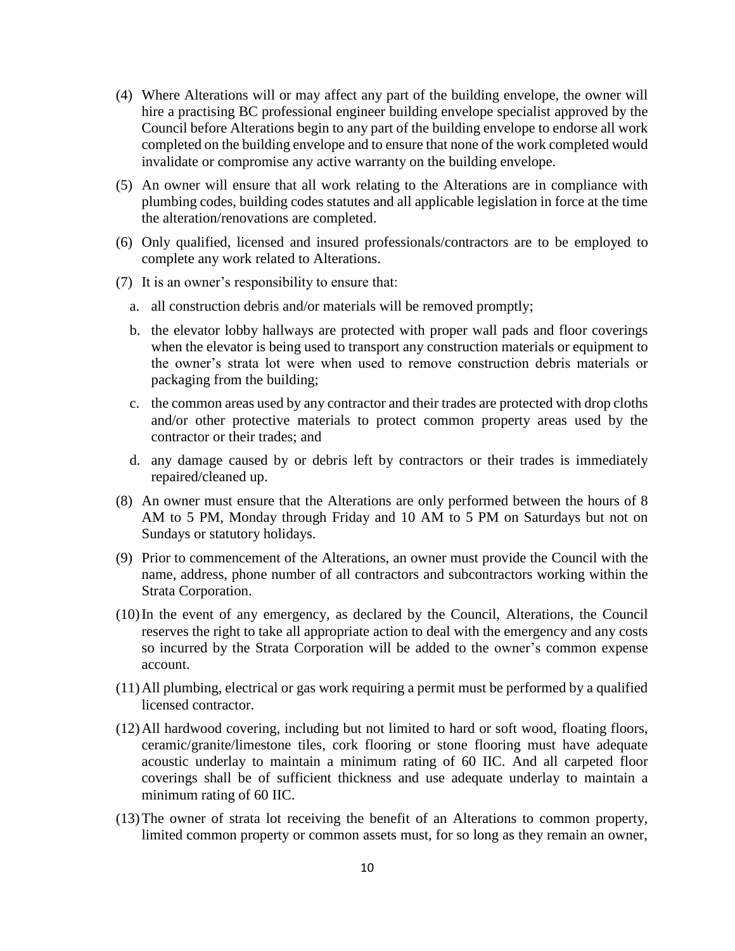- (4) Where Alterations will or may affect any part of the building envelope, the owner will hire a practising BC professional engineer building envelope specialist approved by the Council before Alterations begin to any part of the building envelope to endorse all work completed on the building envelope and to ensure that none of the work completed would invalidate or compromise any active warranty on the building envelope.
- (5) An owner will ensure that all work relating to the Alterations are in compliance with plumbing codes, building codes statutes and all applicable legislation in force at the time the alteration/renovations are completed.
- (6) Only qualified, licensed and insured professionals/contractors are to be employed to complete any work related to Alterations.
- (7) It is an owner's responsibility to ensure that:
	- a. all construction debris and/or materials will be removed promptly;
	- b. the elevator lobby hallways are protected with proper wall pads and floor coverings when the elevator is being used to transport any construction materials or equipment to the owner's strata lot were when used to remove construction debris materials or packaging from the building;
	- c. the common areas used by any contractor and their trades are protected with drop cloths and/or other protective materials to protect common property areas used by the contractor or their trades; and
	- d. any damage caused by or debris left by contractors or their trades is immediately repaired/cleaned up.
- (8) An owner must ensure that the Alterations are only performed between the hours of 8 AM to 5 PM, Monday through Friday and 10 AM to 5 PM on Saturdays but not on Sundays or statutory holidays.
- (9) Prior to commencement of the Alterations, an owner must provide the Council with the name, address, phone number of all contractors and subcontractors working within the Strata Corporation.
- (10)In the event of any emergency, as declared by the Council, Alterations, the Council reserves the right to take all appropriate action to deal with the emergency and any costs so incurred by the Strata Corporation will be added to the owner's common expense account.
- (11)All plumbing, electrical or gas work requiring a permit must be performed by a qualified licensed contractor.
- (12)All hardwood covering, including but not limited to hard or soft wood, floating floors, ceramic/granite/limestone tiles, cork flooring or stone flooring must have adequate acoustic underlay to maintain a minimum rating of 60 IIC. And all carpeted floor coverings shall be of sufficient thickness and use adequate underlay to maintain a minimum rating of 60 IIC.
- (13)The owner of strata lot receiving the benefit of an Alterations to common property, limited common property or common assets must, for so long as they remain an owner,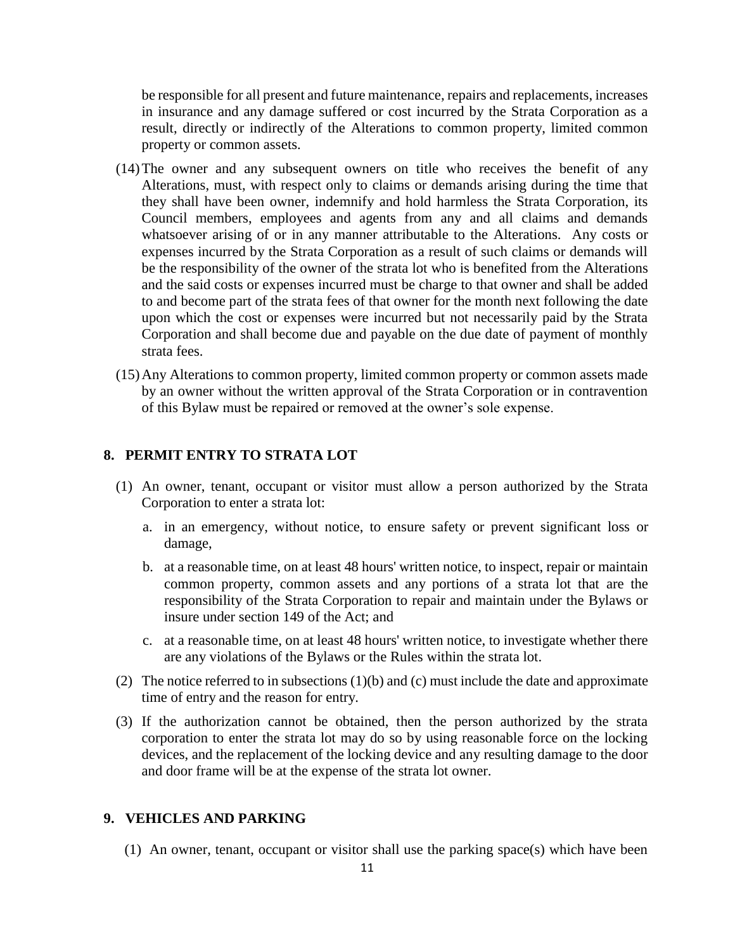be responsible for all present and future maintenance, repairs and replacements, increases in insurance and any damage suffered or cost incurred by the Strata Corporation as a result, directly or indirectly of the Alterations to common property, limited common property or common assets.

- (14)The owner and any subsequent owners on title who receives the benefit of any Alterations, must, with respect only to claims or demands arising during the time that they shall have been owner, indemnify and hold harmless the Strata Corporation, its Council members, employees and agents from any and all claims and demands whatsoever arising of or in any manner attributable to the Alterations. Any costs or expenses incurred by the Strata Corporation as a result of such claims or demands will be the responsibility of the owner of the strata lot who is benefited from the Alterations and the said costs or expenses incurred must be charge to that owner and shall be added to and become part of the strata fees of that owner for the month next following the date upon which the cost or expenses were incurred but not necessarily paid by the Strata Corporation and shall become due and payable on the due date of payment of monthly strata fees.
- (15)Any Alterations to common property, limited common property or common assets made by an owner without the written approval of the Strata Corporation or in contravention of this Bylaw must be repaired or removed at the owner's sole expense.

### **8. PERMIT ENTRY TO STRATA LOT**

- (1) An owner, tenant, occupant or visitor must allow a person authorized by the Strata Corporation to enter a strata lot:
	- a. in an emergency, without notice, to ensure safety or prevent significant loss or damage,
	- b. at a reasonable time, on at least 48 hours' written notice, to inspect, repair or maintain common property, common assets and any portions of a strata lot that are the responsibility of the Strata Corporation to repair and maintain under the Bylaws or insure under section 149 of the Act; and
	- c. at a reasonable time, on at least 48 hours' written notice, to investigate whether there are any violations of the Bylaws or the Rules within the strata lot.
- (2) The notice referred to in subsections  $(1)(b)$  and (c) must include the date and approximate time of entry and the reason for entry.
- (3) If the authorization cannot be obtained, then the person authorized by the strata corporation to enter the strata lot may do so by using reasonable force on the locking devices, and the replacement of the locking device and any resulting damage to the door and door frame will be at the expense of the strata lot owner.

#### **9. VEHICLES AND PARKING**

(1) An owner, tenant, occupant or visitor shall use the parking space(s) which have been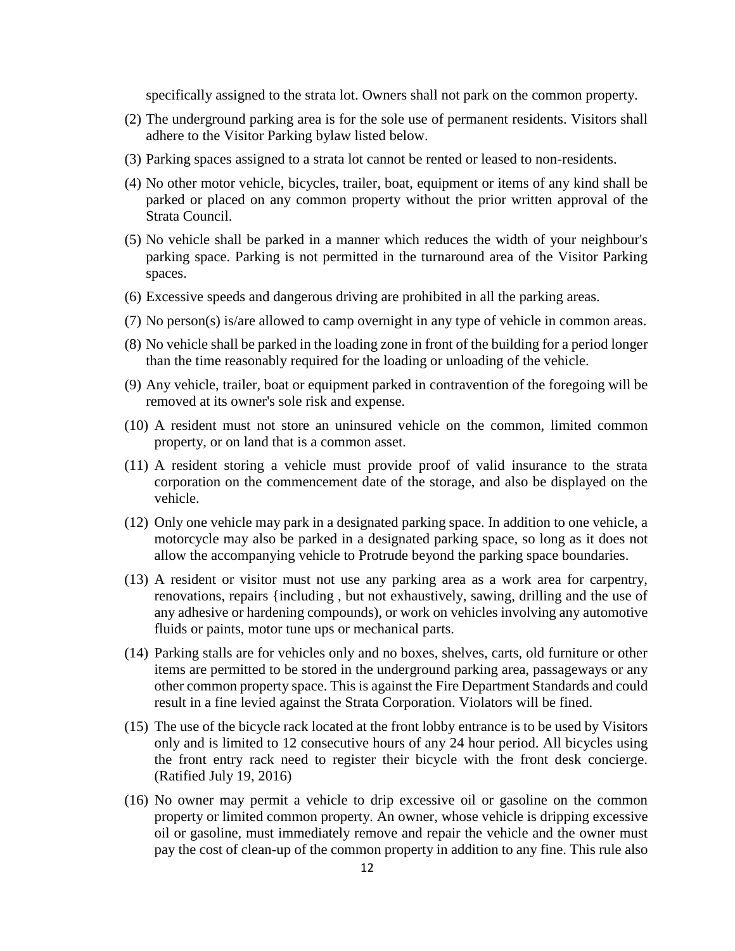specifically assigned to the strata lot. Owners shall not park on the common property.

- (2) The underground parking area is for the sole use of permanent residents. Visitors shall adhere to the Visitor Parking bylaw listed below.
- (3) Parking spaces assigned to a strata lot cannot be rented or leased to non-residents.
- (4) No other motor vehicle, bicycles, trailer, boat, equipment or items of any kind shall be parked or placed on any common property without the prior written approval of the Strata Council.
- (5) No vehicle shall be parked in a manner which reduces the width of your neighbour's parking space. Parking is not permitted in the turnaround area of the Visitor Parking spaces.
- (6) Excessive speeds and dangerous driving are prohibited in all the parking areas.
- (7) No person(s) is/are allowed to camp overnight in any type of vehicle in common areas.
- (8) No vehicle shall be parked in the loading zone in front of the building for a period longer than the time reasonably required for the loading or unloading of the vehicle.
- (9) Any vehicle, trailer, boat or equipment parked in contravention of the foregoing will be removed at its owner's sole risk and expense.
- (10) A resident must not store an uninsured vehicle on the common, limited common property, or on land that is a common asset.
- (11) A resident storing a vehicle must provide proof of valid insurance to the strata corporation on the commencement date of the storage, and also be displayed on the vehicle.
- (12) Only one vehicle may park in a designated parking space. In addition to one vehicle, a motorcycle may also be parked in a designated parking space, so long as it does not allow the accompanying vehicle to Protrude beyond the parking space boundaries.
- (13) A resident or visitor must not use any parking area as a work area for carpentry, renovations, repairs {including , but not exhaustively, sawing, drilling and the use of any adhesive or hardening compounds), or work on vehicles involving any automotive fluids or paints, motor tune ups or mechanical parts.
- (14) Parking stalls are for vehicles only and no boxes, shelves, carts, old furniture or other items are permitted to be stored in the underground parking area, passageways or any other common property space. This is against the Fire Department Standards and could result in a fine levied against the Strata Corporation. Violators will be fined.
- (15) The use of the bicycle rack located at the front lobby entrance is to be used by Visitors only and is limited to 12 consecutive hours of any 24 hour period. All bicycles using the front entry rack need to register their bicycle with the front desk concierge. (Ratified July 19, 2016)
- (16) No owner may permit a vehicle to drip excessive oil or gasoline on the common property or limited common property. An owner, whose vehicle is dripping excessive oil or gasoline, must immediately remove and repair the vehicle and the owner must pay the cost of clean-up of the common property in addition to any fine. This rule also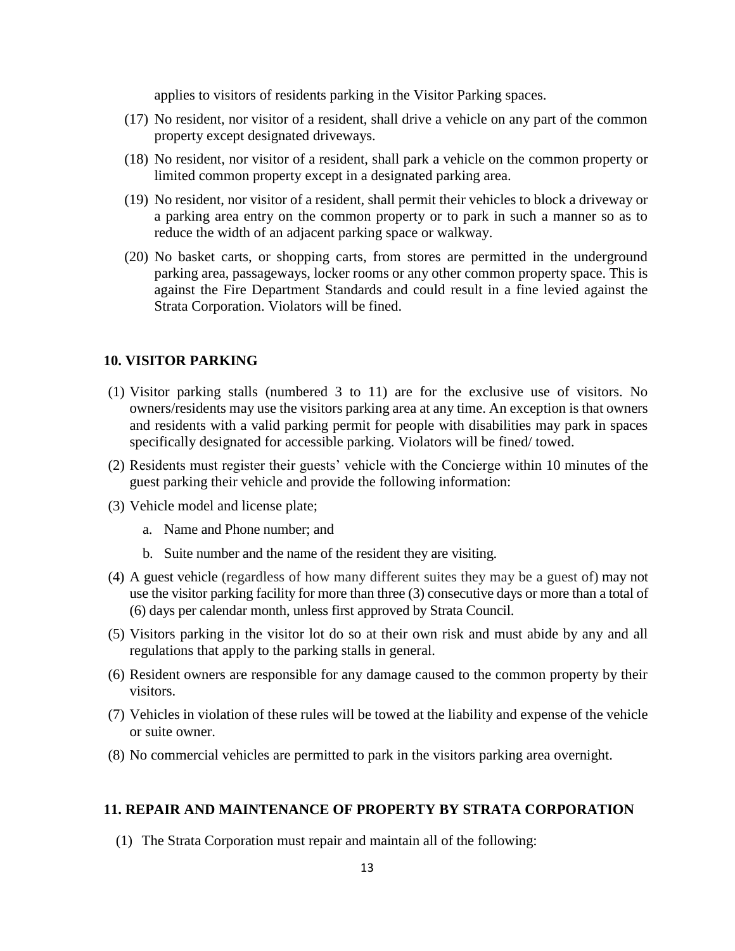applies to visitors of residents parking in the Visitor Parking spaces.

- (17) No resident, nor visitor of a resident, shall drive a vehicle on any part of the common property except designated driveways.
- (18) No resident, nor visitor of a resident, shall park a vehicle on the common property or limited common property except in a designated parking area.
- (19) No resident, nor visitor of a resident, shall permit their vehicles to block a driveway or a parking area entry on the common property or to park in such a manner so as to reduce the width of an adjacent parking space or walkway.
- (20) No basket carts, or shopping carts, from stores are permitted in the underground parking area, passageways, locker rooms or any other common property space. This is against the Fire Department Standards and could result in a fine levied against the Strata Corporation. Violators will be fined.

#### **10. VISITOR PARKING**

- (1) Visitor parking stalls (numbered 3 to 11) are for the exclusive use of visitors. No owners/residents may use the visitors parking area at any time. An exception is that owners and residents with a valid parking permit for people with disabilities may park in spaces specifically designated for accessible parking. Violators will be fined/ towed.
- (2) Residents must register their guests' vehicle with the Concierge within 10 minutes of the guest parking their vehicle and provide the following information:
- (3) Vehicle model and license plate;
	- a. Name and Phone number; and
	- b. Suite number and the name of the resident they are visiting.
- (4) A guest vehicle (regardless of how many different suites they may be a guest of) may not use the visitor parking facility for more than three (3) consecutive days or more than a total of (6) days per calendar month, unless first approved by Strata Council.
- (5) Visitors parking in the visitor lot do so at their own risk and must abide by any and all regulations that apply to the parking stalls in general.
- (6) Resident owners are responsible for any damage caused to the common property by their visitors.
- (7) Vehicles in violation of these rules will be towed at the liability and expense of the vehicle or suite owner.
- (8) No commercial vehicles are permitted to park in the visitors parking area overnight.

#### **11. REPAIR AND MAINTENANCE OF PROPERTY BY STRATA CORPORATION**

(1) The Strata Corporation must repair and maintain all of the following: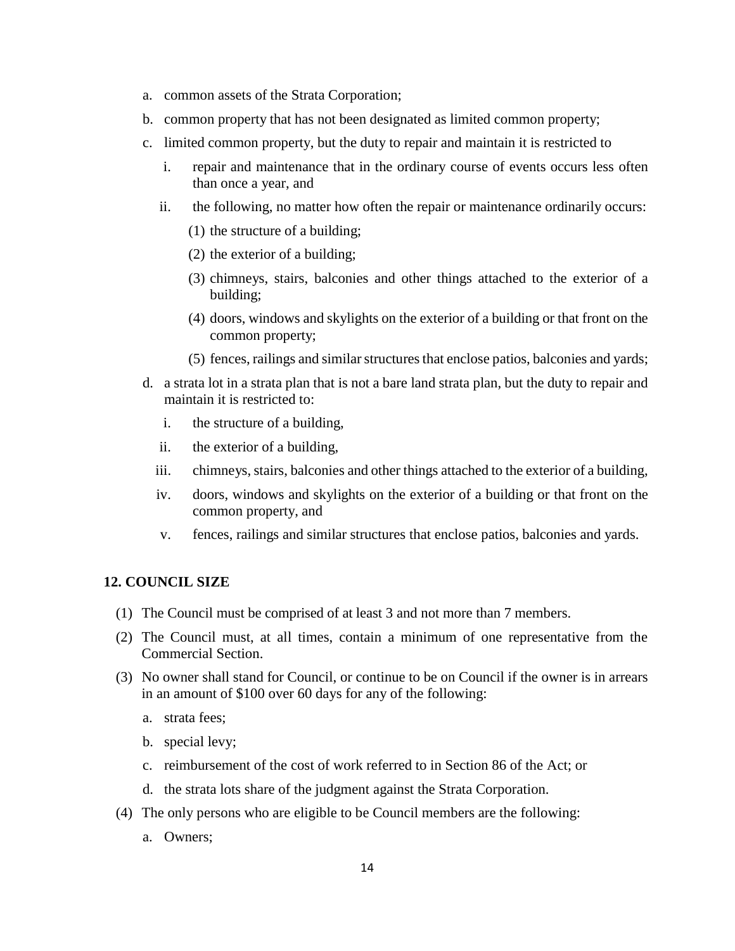- a. common assets of the Strata Corporation;
- b. common property that has not been designated as limited common property;
- c. limited common property, but the duty to repair and maintain it is restricted to
	- i. repair and maintenance that in the ordinary course of events occurs less often than once a year, and
	- ii. the following, no matter how often the repair or maintenance ordinarily occurs:
		- (1) the structure of a building;
		- (2) the exterior of a building;
		- (3) chimneys, stairs, balconies and other things attached to the exterior of a building;
		- (4) doors, windows and skylights on the exterior of a building or that front on the common property;
		- (5) fences, railings and similar structures that enclose patios, balconies and yards;
- d. a strata lot in a strata plan that is not a bare land strata plan, but the duty to repair and maintain it is restricted to:
	- i. the structure of a building,
	- ii. the exterior of a building,
	- iii. chimneys, stairs, balconies and other things attached to the exterior of a building,
	- iv. doors, windows and skylights on the exterior of a building or that front on the common property, and
	- v. fences, railings and similar structures that enclose patios, balconies and yards.

#### **12. COUNCIL SIZE**

- (1) The Council must be comprised of at least 3 and not more than 7 members.
- (2) The Council must, at all times, contain a minimum of one representative from the Commercial Section.
- (3) No owner shall stand for Council, or continue to be on Council if the owner is in arrears in an amount of \$100 over 60 days for any of the following:
	- a. strata fees;
	- b. special levy;
	- c. reimbursement of the cost of work referred to in Section 86 of the Act; or
	- d. the strata lots share of the judgment against the Strata Corporation.
- (4) The only persons who are eligible to be Council members are the following:
	- a. Owners;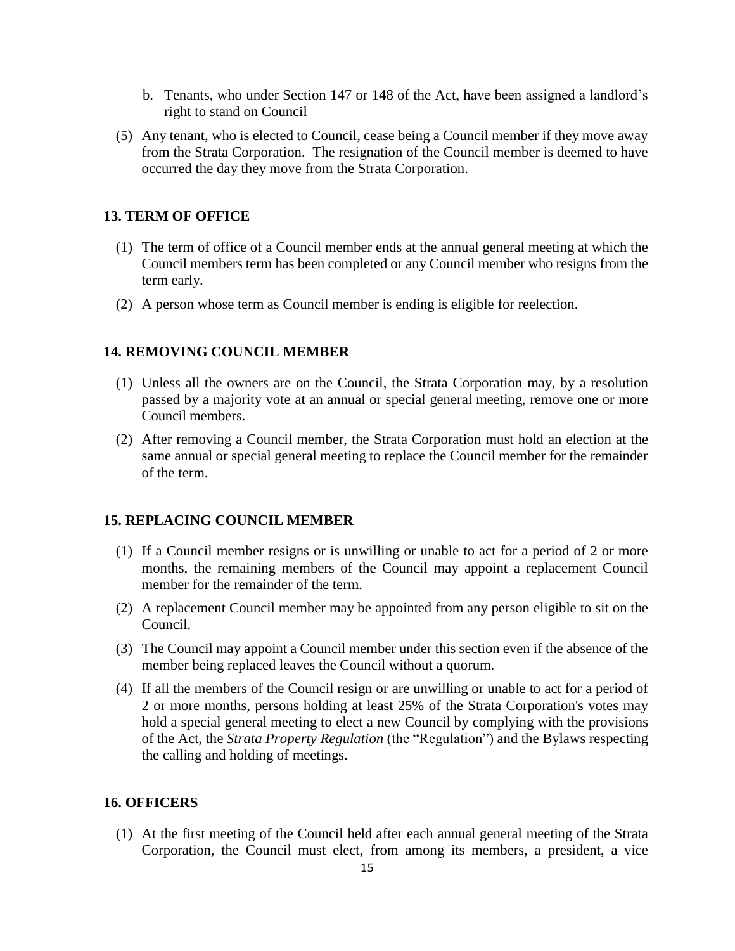- b. Tenants, who under Section 147 or 148 of the Act, have been assigned a landlord's right to stand on Council
- (5) Any tenant, who is elected to Council, cease being a Council member if they move away from the Strata Corporation. The resignation of the Council member is deemed to have occurred the day they move from the Strata Corporation.

#### **13. TERM OF OFFICE**

- (1) The term of office of a Council member ends at the annual general meeting at which the Council members term has been completed or any Council member who resigns from the term early.
- (2) A person whose term as Council member is ending is eligible for reelection.

#### **14. REMOVING COUNCIL MEMBER**

- (1) Unless all the owners are on the Council, the Strata Corporation may, by a resolution passed by a majority vote at an annual or special general meeting, remove one or more Council members.
- (2) After removing a Council member, the Strata Corporation must hold an election at the same annual or special general meeting to replace the Council member for the remainder of the term.

#### **15. REPLACING COUNCIL MEMBER**

- (1) If a Council member resigns or is unwilling or unable to act for a period of 2 or more months, the remaining members of the Council may appoint a replacement Council member for the remainder of the term.
- (2) A replacement Council member may be appointed from any person eligible to sit on the Council.
- (3) The Council may appoint a Council member under this section even if the absence of the member being replaced leaves the Council without a quorum.
- (4) If all the members of the Council resign or are unwilling or unable to act for a period of 2 or more months, persons holding at least 25% of the Strata Corporation's votes may hold a special general meeting to elect a new Council by complying with the provisions of the Act, the *Strata Property Regulation* (the "Regulation") and the Bylaws respecting the calling and holding of meetings.

#### **16. OFFICERS**

(1) At the first meeting of the Council held after each annual general meeting of the Strata Corporation, the Council must elect, from among its members, a president, a vice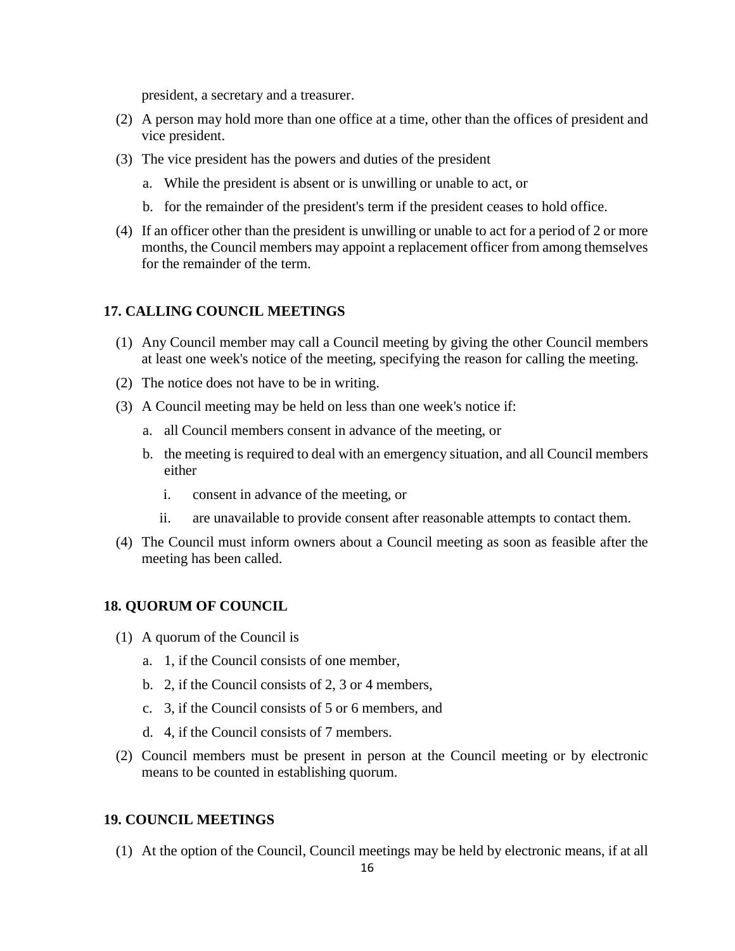president, a secretary and a treasurer.

- (2) A person may hold more than one office at a time, other than the offices of president and vice president.
- (3) The vice president has the powers and duties of the president
	- a. While the president is absent or is unwilling or unable to act, or
	- b. for the remainder of the president's term if the president ceases to hold office.
- (4) If an officer other than the president is unwilling or unable to act for a period of 2 or more months, the Council members may appoint a replacement officer from among themselves for the remainder of the term.

#### **17. CALLING COUNCIL MEETINGS**

- (1) Any Council member may call a Council meeting by giving the other Council members at least one week's notice of the meeting, specifying the reason for calling the meeting.
- (2) The notice does not have to be in writing.
- (3) A Council meeting may be held on less than one week's notice if:
	- a. all Council members consent in advance of the meeting, or
	- b. the meeting is required to deal with an emergency situation, and all Council members either
		- i. consent in advance of the meeting, or
		- ii. are unavailable to provide consent after reasonable attempts to contact them.
- (4) The Council must inform owners about a Council meeting as soon as feasible after the meeting has been called.

#### **18. QUORUM OF COUNCIL**

- (1) A quorum of the Council is
	- a. 1, if the Council consists of one member,
	- b. 2, if the Council consists of 2, 3 or 4 members,
	- c. 3, if the Council consists of 5 or 6 members, and
	- d. 4, if the Council consists of 7 members.
- (2) Council members must be present in person at the Council meeting or by electronic means to be counted in establishing quorum.

## **19. COUNCIL MEETINGS**

(1) At the option of the Council, Council meetings may be held by electronic means, if at all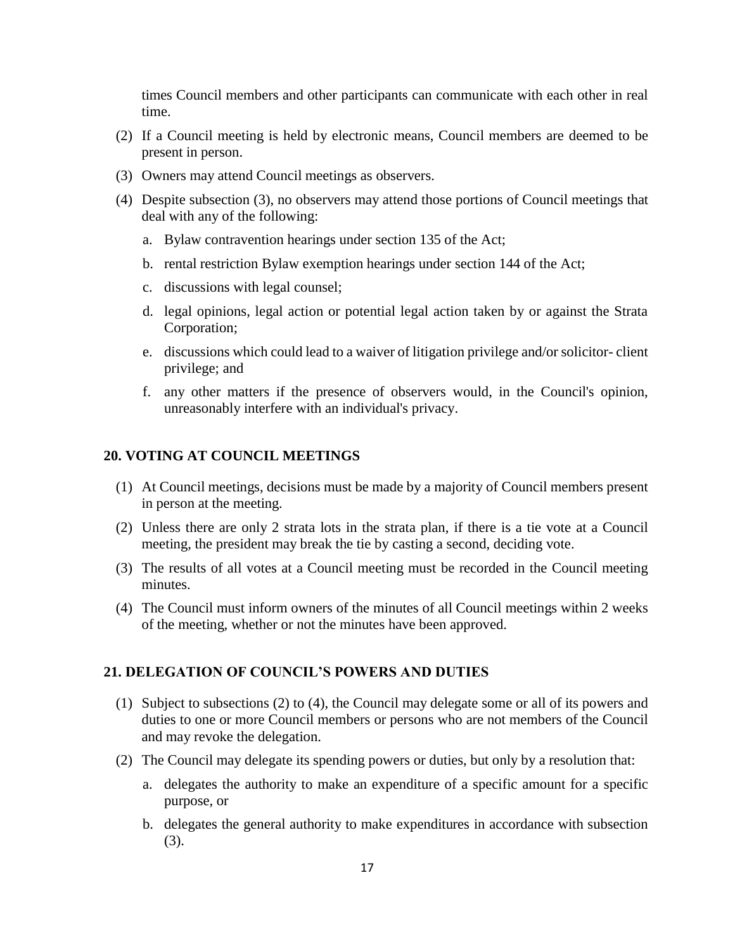times Council members and other participants can communicate with each other in real time.

- (2) If a Council meeting is held by electronic means, Council members are deemed to be present in person.
- (3) Owners may attend Council meetings as observers.
- (4) Despite subsection (3), no observers may attend those portions of Council meetings that deal with any of the following:
	- a. Bylaw contravention hearings under section 135 of the Act;
	- b. rental restriction Bylaw exemption hearings under section 144 of the Act;
	- c. discussions with legal counsel;
	- d. legal opinions, legal action or potential legal action taken by or against the Strata Corporation;
	- e. discussions which could lead to a waiver of litigation privilege and/or solicitor- client privilege; and
	- f. any other matters if the presence of observers would, in the Council's opinion, unreasonably interfere with an individual's privacy.

#### **20. VOTING AT COUNCIL MEETINGS**

- (1) At Council meetings, decisions must be made by a majority of Council members present in person at the meeting.
- (2) Unless there are only 2 strata lots in the strata plan, if there is a tie vote at a Council meeting, the president may break the tie by casting a second, deciding vote.
- (3) The results of all votes at a Council meeting must be recorded in the Council meeting minutes.
- (4) The Council must inform owners of the minutes of all Council meetings within 2 weeks of the meeting, whether or not the minutes have been approved.

#### **21. DELEGATION OF COUNCIL'S POWERS AND DUTIES**

- (1) Subject to subsections (2) to (4), the Council may delegate some or all of its powers and duties to one or more Council members or persons who are not members of the Council and may revoke the delegation.
- (2) The Council may delegate its spending powers or duties, but only by a resolution that:
	- a. delegates the authority to make an expenditure of a specific amount for a specific purpose, or
	- b. delegates the general authority to make expenditures in accordance with subsection (3).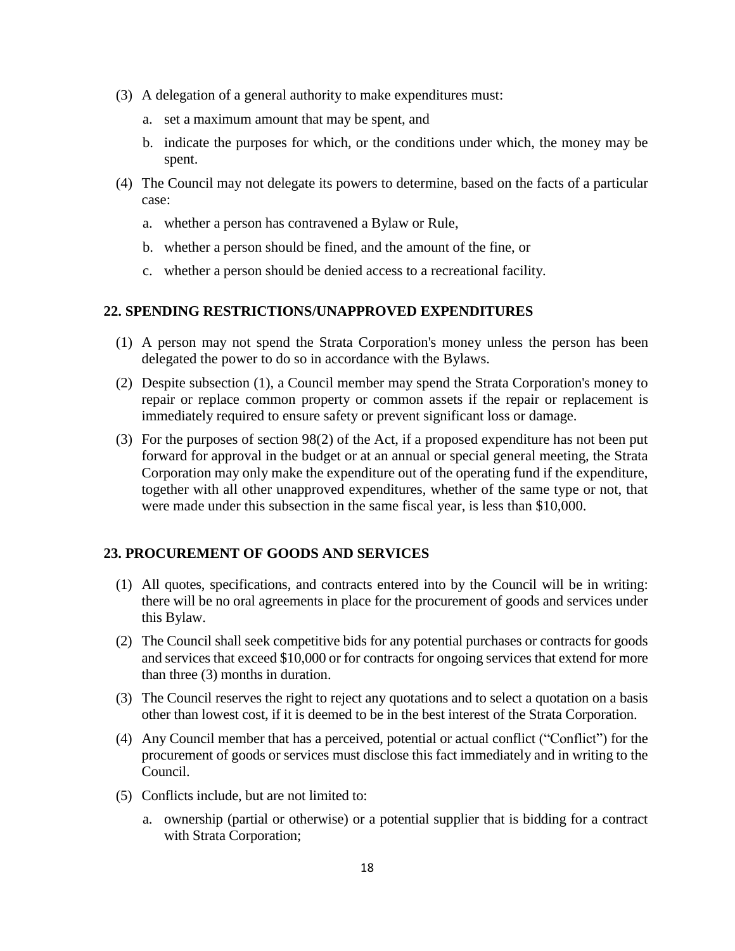- (3) A delegation of a general authority to make expenditures must:
	- a. set a maximum amount that may be spent, and
	- b. indicate the purposes for which, or the conditions under which, the money may be spent.
- (4) The Council may not delegate its powers to determine, based on the facts of a particular case:
	- a. whether a person has contravened a Bylaw or Rule,
	- b. whether a person should be fined, and the amount of the fine, or
	- c. whether a person should be denied access to a recreational facility.

#### **22. SPENDING RESTRICTIONS/UNAPPROVED EXPENDITURES**

- (1) A person may not spend the Strata Corporation's money unless the person has been delegated the power to do so in accordance with the Bylaws.
- (2) Despite subsection (1), a Council member may spend the Strata Corporation's money to repair or replace common property or common assets if the repair or replacement is immediately required to ensure safety or prevent significant loss or damage.
- (3) For the purposes of section 98(2) of the Act, if a proposed expenditure has not been put forward for approval in the budget or at an annual or special general meeting, the Strata Corporation may only make the expenditure out of the operating fund if the expenditure, together with all other unapproved expenditures, whether of the same type or not, that were made under this subsection in the same fiscal year, is less than \$10,000.

#### **23. PROCUREMENT OF GOODS AND SERVICES**

- (1) All quotes, specifications, and contracts entered into by the Council will be in writing: there will be no oral agreements in place for the procurement of goods and services under this Bylaw.
- (2) The Council shall seek competitive bids for any potential purchases or contracts for goods and services that exceed \$10,000 or for contracts for ongoing services that extend for more than three (3) months in duration.
- (3) The Council reserves the right to reject any quotations and to select a quotation on a basis other than lowest cost, if it is deemed to be in the best interest of the Strata Corporation.
- (4) Any Council member that has a perceived, potential or actual conflict ("Conflict") for the procurement of goods or services must disclose this fact immediately and in writing to the Council.
- (5) Conflicts include, but are not limited to:
	- a. ownership (partial or otherwise) or a potential supplier that is bidding for a contract with Strata Corporation;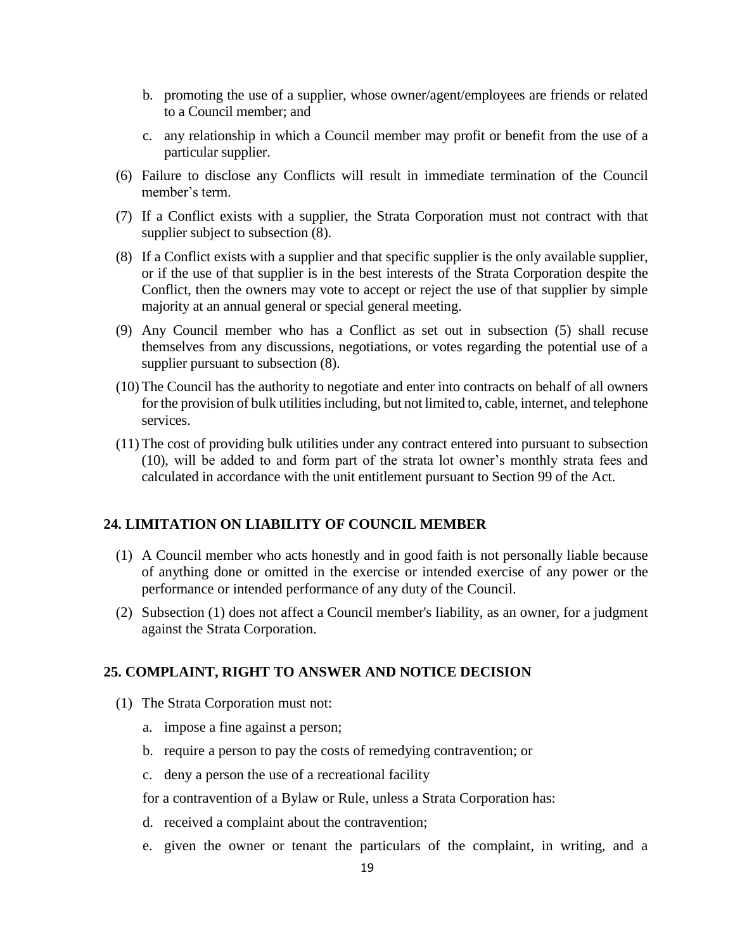- b. promoting the use of a supplier, whose owner/agent/employees are friends or related to a Council member; and
- c. any relationship in which a Council member may profit or benefit from the use of a particular supplier.
- (6) Failure to disclose any Conflicts will result in immediate termination of the Council member's term.
- (7) If a Conflict exists with a supplier, the Strata Corporation must not contract with that supplier subject to subsection  $(8)$ .
- (8) If a Conflict exists with a supplier and that specific supplier is the only available supplier, or if the use of that supplier is in the best interests of the Strata Corporation despite the Conflict, then the owners may vote to accept or reject the use of that supplier by simple majority at an annual general or special general meeting.
- (9) Any Council member who has a Conflict as set out in subsection (5) shall recuse themselves from any discussions, negotiations, or votes regarding the potential use of a supplier pursuant to subsection  $(8)$ .
- (10) The Council has the authority to negotiate and enter into contracts on behalf of all owners for the provision of bulk utilities including, but not limited to, cable, internet, and telephone services.
- (11) The cost of providing bulk utilities under any contract entered into pursuant to subsection (10), will be added to and form part of the strata lot owner's monthly strata fees and calculated in accordance with the unit entitlement pursuant to Section 99 of the Act.

#### **24. LIMITATION ON LIABILITY OF COUNCIL MEMBER**

- (1) A Council member who acts honestly and in good faith is not personally liable because of anything done or omitted in the exercise or intended exercise of any power or the performance or intended performance of any duty of the Council.
- (2) Subsection (1) does not affect a Council member's liability, as an owner, for a judgment against the Strata Corporation.

#### **25. COMPLAINT, RIGHT TO ANSWER AND NOTICE DECISION**

- (1) The Strata Corporation must not:
	- a. impose a fine against a person;
	- b. require a person to pay the costs of remedying contravention; or
	- c. deny a person the use of a recreational facility

for a contravention of a Bylaw or Rule, unless a Strata Corporation has:

- d. received a complaint about the contravention;
- e. given the owner or tenant the particulars of the complaint, in writing, and a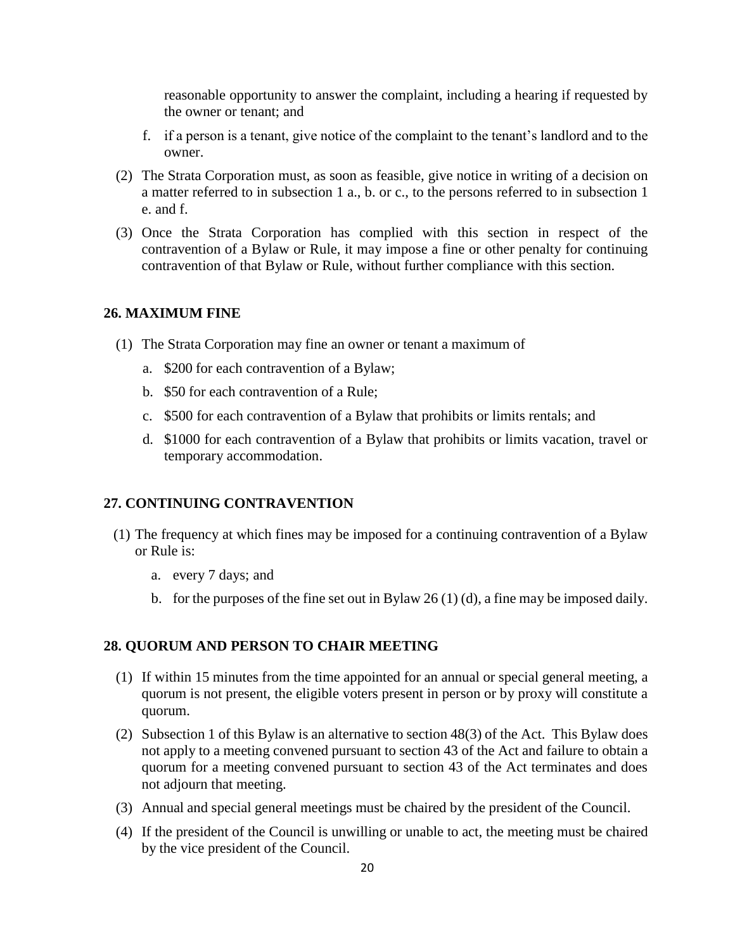reasonable opportunity to answer the complaint, including a hearing if requested by the owner or tenant; and

- f. if a person is a tenant, give notice of the complaint to the tenant's landlord and to the owner.
- (2) The Strata Corporation must, as soon as feasible, give notice in writing of a decision on a matter referred to in subsection 1 a., b. or c., to the persons referred to in subsection 1 e. and f.
- (3) Once the Strata Corporation has complied with this section in respect of the contravention of a Bylaw or Rule, it may impose a fine or other penalty for continuing contravention of that Bylaw or Rule, without further compliance with this section.

#### **26. MAXIMUM FINE**

- (1) The Strata Corporation may fine an owner or tenant a maximum of
	- a. \$200 for each contravention of a Bylaw;
	- b. \$50 for each contravention of a Rule;
	- c. \$500 for each contravention of a Bylaw that prohibits or limits rentals; and
	- d. \$1000 for each contravention of a Bylaw that prohibits or limits vacation, travel or temporary accommodation.

#### **27. CONTINUING CONTRAVENTION**

- (1) The frequency at which fines may be imposed for a continuing contravention of a Bylaw or Rule is:
	- a. every 7 days; and
	- b. for the purposes of the fine set out in Bylaw 26 (1) (d), a fine may be imposed daily.

#### **28. QUORUM AND PERSON TO CHAIR MEETING**

- (1) If within 15 minutes from the time appointed for an annual or special general meeting, a quorum is not present, the eligible voters present in person or by proxy will constitute a quorum.
- (2) Subsection 1 of this Bylaw is an alternative to section 48(3) of the Act. This Bylaw does not apply to a meeting convened pursuant to section 43 of the Act and failure to obtain a quorum for a meeting convened pursuant to section 43 of the Act terminates and does not adjourn that meeting.
- (3) Annual and special general meetings must be chaired by the president of the Council.
- (4) If the president of the Council is unwilling or unable to act, the meeting must be chaired by the vice president of the Council.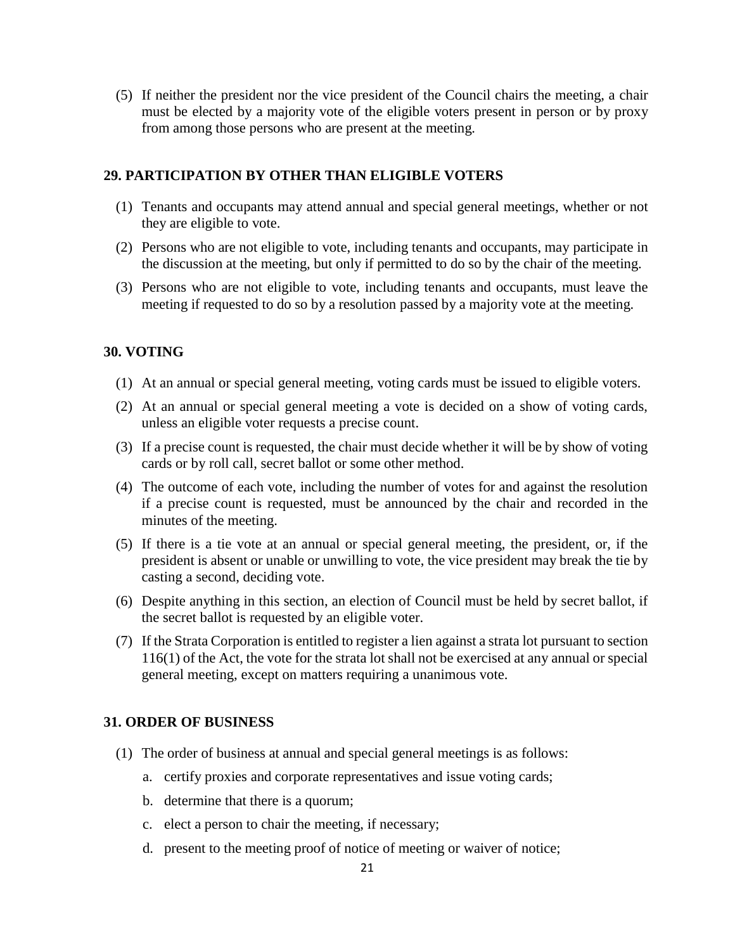(5) If neither the president nor the vice president of the Council chairs the meeting, a chair must be elected by a majority vote of the eligible voters present in person or by proxy from among those persons who are present at the meeting.

#### **29. PARTICIPATION BY OTHER THAN ELIGIBLE VOTERS**

- (1) Tenants and occupants may attend annual and special general meetings, whether or not they are eligible to vote.
- (2) Persons who are not eligible to vote, including tenants and occupants, may participate in the discussion at the meeting, but only if permitted to do so by the chair of the meeting.
- (3) Persons who are not eligible to vote, including tenants and occupants, must leave the meeting if requested to do so by a resolution passed by a majority vote at the meeting.

#### **30. VOTING**

- (1) At an annual or special general meeting, voting cards must be issued to eligible voters.
- (2) At an annual or special general meeting a vote is decided on a show of voting cards, unless an eligible voter requests a precise count.
- (3) If a precise count is requested, the chair must decide whether it will be by show of voting cards or by roll call, secret ballot or some other method.
- (4) The outcome of each vote, including the number of votes for and against the resolution if a precise count is requested, must be announced by the chair and recorded in the minutes of the meeting.
- (5) If there is a tie vote at an annual or special general meeting, the president, or, if the president is absent or unable or unwilling to vote, the vice president may break the tie by casting a second, deciding vote.
- (6) Despite anything in this section, an election of Council must be held by secret ballot, if the secret ballot is requested by an eligible voter.
- (7) If the Strata Corporation is entitled to register a lien against a strata lot pursuant to section 116(1) of the Act, the vote for the strata lot shall not be exercised at any annual or special general meeting, except on matters requiring a unanimous vote.

#### **31. ORDER OF BUSINESS**

- (1) The order of business at annual and special general meetings is as follows:
	- a. certify proxies and corporate representatives and issue voting cards;
	- b. determine that there is a quorum;
	- c. elect a person to chair the meeting, if necessary;
	- d. present to the meeting proof of notice of meeting or waiver of notice;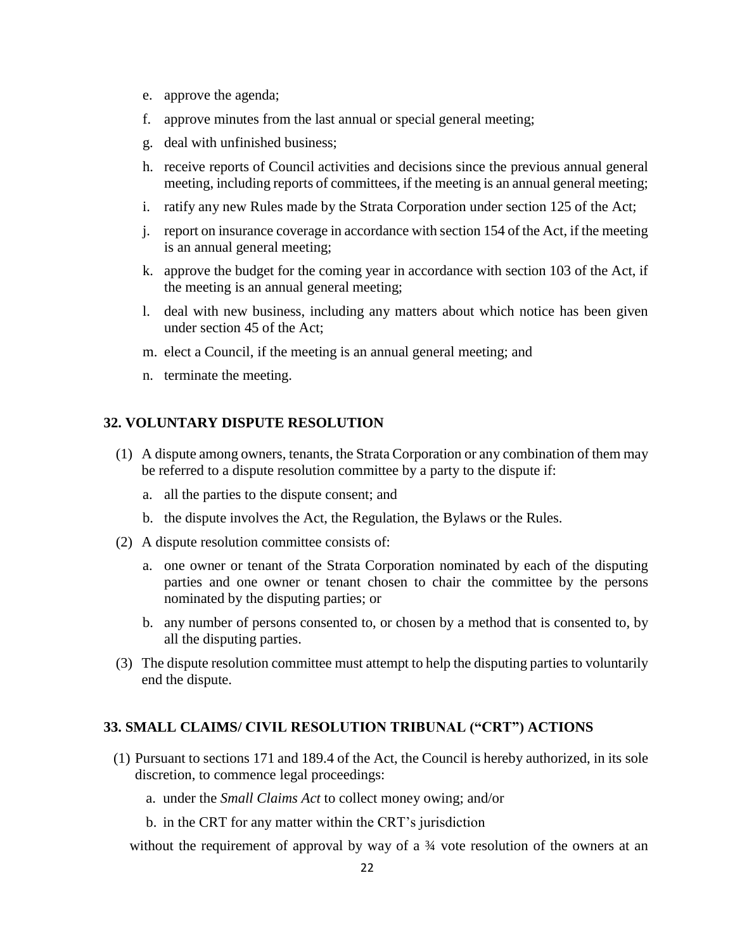- e. approve the agenda;
- f. approve minutes from the last annual or special general meeting;
- g. deal with unfinished business;
- h. receive reports of Council activities and decisions since the previous annual general meeting, including reports of committees, if the meeting is an annual general meeting;
- i. ratify any new Rules made by the Strata Corporation under section 125 of the Act;
- j. report on insurance coverage in accordance with section 154 of the Act, if the meeting is an annual general meeting;
- k. approve the budget for the coming year in accordance with section 103 of the Act, if the meeting is an annual general meeting;
- l. deal with new business, including any matters about which notice has been given under section 45 of the Act;
- m. elect a Council, if the meeting is an annual general meeting; and
- n. terminate the meeting.

#### **32. VOLUNTARY DISPUTE RESOLUTION**

- (1) A dispute among owners, tenants, the Strata Corporation or any combination of them may be referred to a dispute resolution committee by a party to the dispute if:
	- a. all the parties to the dispute consent; and
	- b. the dispute involves the Act, the Regulation, the Bylaws or the Rules.
- (2) A dispute resolution committee consists of:
	- a. one owner or tenant of the Strata Corporation nominated by each of the disputing parties and one owner or tenant chosen to chair the committee by the persons nominated by the disputing parties; or
	- b. any number of persons consented to, or chosen by a method that is consented to, by all the disputing parties.
- (3) The dispute resolution committee must attempt to help the disputing parties to voluntarily end the dispute.

### **33. SMALL CLAIMS/ CIVIL RESOLUTION TRIBUNAL ("CRT") ACTIONS**

- (1) Pursuant to sections 171 and 189.4 of the Act, the Council is hereby authorized, in its sole discretion, to commence legal proceedings:
	- a. under the *Small Claims Act* to collect money owing; and/or
	- b. in the CRT for any matter within the CRT's jurisdiction

without the requirement of approval by way of a  $\frac{3}{4}$  vote resolution of the owners at an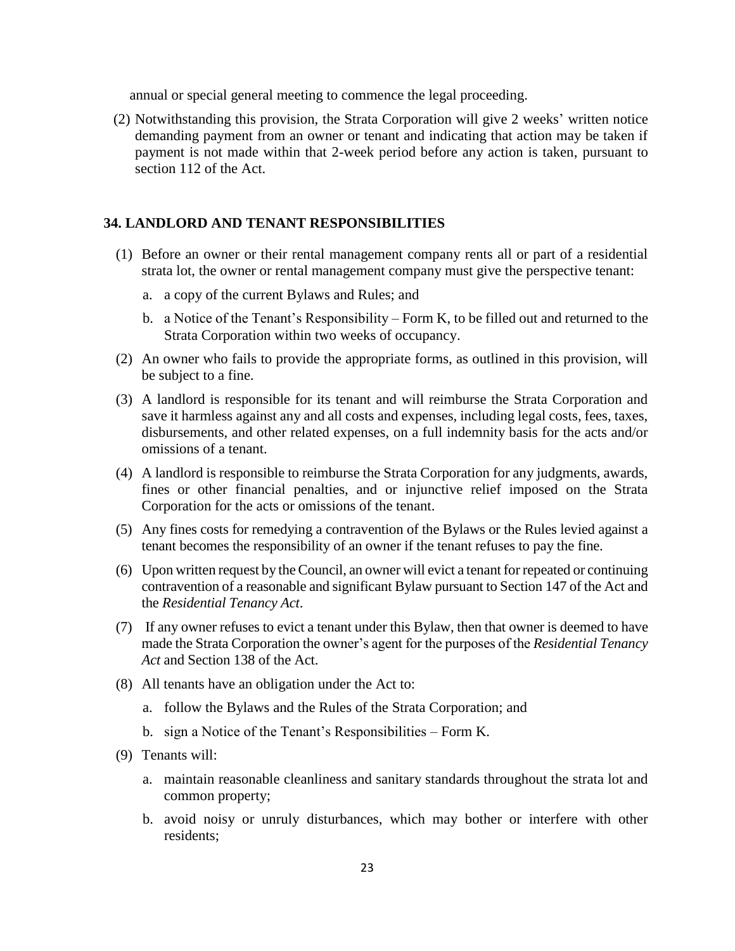annual or special general meeting to commence the legal proceeding.

(2) Notwithstanding this provision, the Strata Corporation will give 2 weeks' written notice demanding payment from an owner or tenant and indicating that action may be taken if payment is not made within that 2-week period before any action is taken, pursuant to section 112 of the Act.

#### **34. LANDLORD AND TENANT RESPONSIBILITIES**

- (1) Before an owner or their rental management company rents all or part of a residential strata lot, the owner or rental management company must give the perspective tenant:
	- a. a copy of the current Bylaws and Rules; and
	- b. a Notice of the Tenant's Responsibility Form K, to be filled out and returned to the Strata Corporation within two weeks of occupancy.
- (2) An owner who fails to provide the appropriate forms, as outlined in this provision, will be subject to a fine.
- (3) A landlord is responsible for its tenant and will reimburse the Strata Corporation and save it harmless against any and all costs and expenses, including legal costs, fees, taxes, disbursements, and other related expenses, on a full indemnity basis for the acts and/or omissions of a tenant.
- (4) A landlord is responsible to reimburse the Strata Corporation for any judgments, awards, fines or other financial penalties, and or injunctive relief imposed on the Strata Corporation for the acts or omissions of the tenant.
- (5) Any fines costs for remedying a contravention of the Bylaws or the Rules levied against a tenant becomes the responsibility of an owner if the tenant refuses to pay the fine.
- (6) Upon written request by the Council, an owner will evict a tenant for repeated or continuing contravention of a reasonable and significant Bylaw pursuant to Section 147 of the Act and the *Residential Tenancy Act*.
- (7) If any owner refuses to evict a tenant under this Bylaw, then that owner is deemed to have made the Strata Corporation the owner's agent for the purposes of the *Residential Tenancy Act* and Section 138 of the Act.
- (8) All tenants have an obligation under the Act to:
	- a. follow the Bylaws and the Rules of the Strata Corporation; and
	- b. sign a Notice of the Tenant's Responsibilities Form K.
- (9) Tenants will:
	- a. maintain reasonable cleanliness and sanitary standards throughout the strata lot and common property;
	- b. avoid noisy or unruly disturbances, which may bother or interfere with other residents;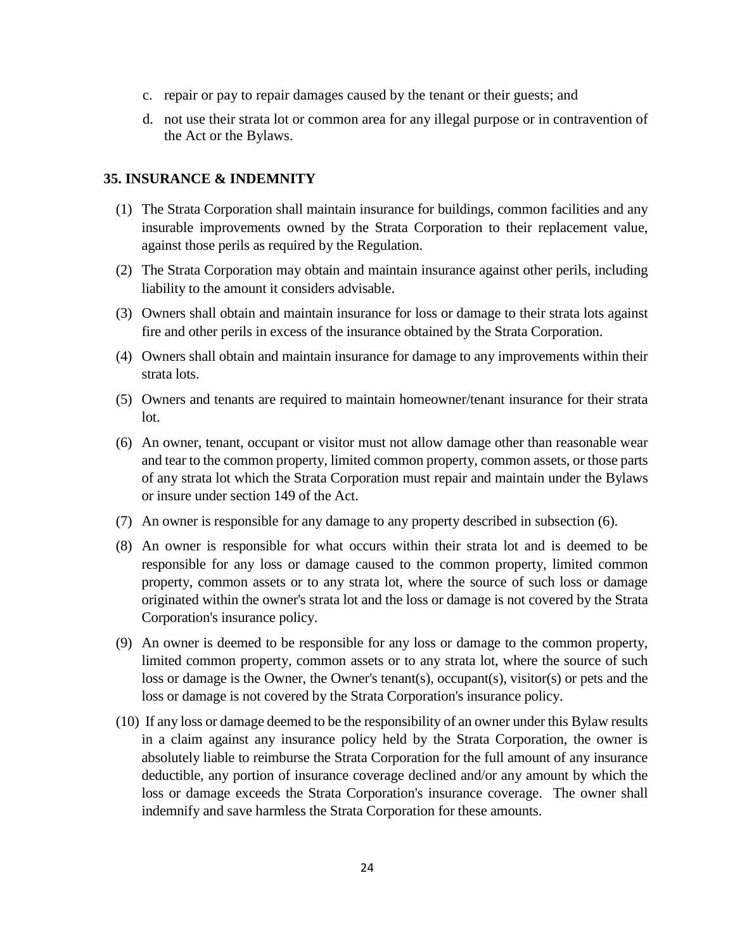- c. repair or pay to repair damages caused by the tenant or their guests; and
- d. not use their strata lot or common area for any illegal purpose or in contravention of the Act or the Bylaws.

#### **35. INSURANCE & INDEMNITY**

- (1) The Strata Corporation shall maintain insurance for buildings, common facilities and any insurable improvements owned by the Strata Corporation to their replacement value, against those perils as required by the Regulation.
- (2) The Strata Corporation may obtain and maintain insurance against other perils, including liability to the amount it considers advisable.
- (3) Owners shall obtain and maintain insurance for loss or damage to their strata lots against fire and other perils in excess of the insurance obtained by the Strata Corporation.
- (4) Owners shall obtain and maintain insurance for damage to any improvements within their strata lots.
- (5) Owners and tenants are required to maintain homeowner/tenant insurance for their strata lot.
- (6) An owner, tenant, occupant or visitor must not allow damage other than reasonable wear and tear to the common property, limited common property, common assets, or those parts of any strata lot which the Strata Corporation must repair and maintain under the Bylaws or insure under section 149 of the Act.
- (7) An owner is responsible for any damage to any property described in subsection (6).
- (8) An owner is responsible for what occurs within their strata lot and is deemed to be responsible for any loss or damage caused to the common property, limited common property, common assets or to any strata lot, where the source of such loss or damage originated within the owner's strata lot and the loss or damage is not covered by the Strata Corporation's insurance policy.
- (9) An owner is deemed to be responsible for any loss or damage to the common property, limited common property, common assets or to any strata lot, where the source of such loss or damage is the Owner, the Owner's tenant(s), occupant(s), visitor(s) or pets and the loss or damage is not covered by the Strata Corporation's insurance policy.
- (10) If any loss or damage deemed to be the responsibility of an owner under this Bylaw results in a claim against any insurance policy held by the Strata Corporation, the owner is absolutely liable to reimburse the Strata Corporation for the full amount of any insurance deductible, any portion of insurance coverage declined and/or any amount by which the loss or damage exceeds the Strata Corporation's insurance coverage. The owner shall indemnify and save harmless the Strata Corporation for these amounts.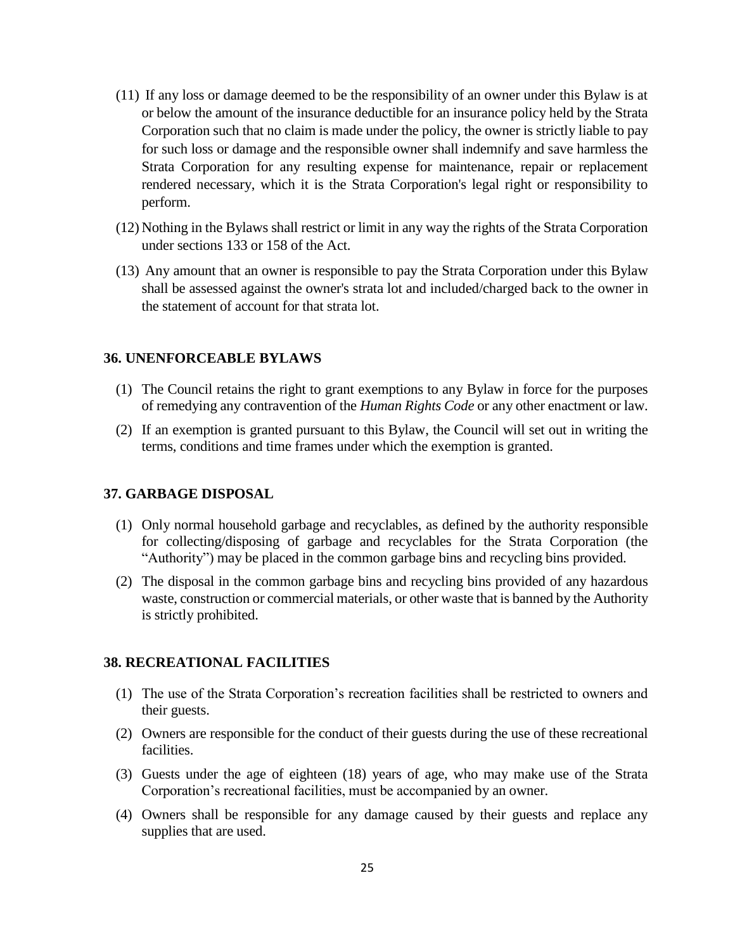- (11) If any loss or damage deemed to be the responsibility of an owner under this Bylaw is at or below the amount of the insurance deductible for an insurance policy held by the Strata Corporation such that no claim is made under the policy, the owner is strictly liable to pay for such loss or damage and the responsible owner shall indemnify and save harmless the Strata Corporation for any resulting expense for maintenance, repair or replacement rendered necessary, which it is the Strata Corporation's legal right or responsibility to perform.
- (12) Nothing in the Bylaws shall restrict or limit in any way the rights of the Strata Corporation under sections 133 or 158 of the Act.
- (13) Any amount that an owner is responsible to pay the Strata Corporation under this Bylaw shall be assessed against the owner's strata lot and included/charged back to the owner in the statement of account for that strata lot.

#### **36. UNENFORCEABLE BYLAWS**

- (1) The Council retains the right to grant exemptions to any Bylaw in force for the purposes of remedying any contravention of the *Human Rights Code* or any other enactment or law.
- (2) If an exemption is granted pursuant to this Bylaw, the Council will set out in writing the terms, conditions and time frames under which the exemption is granted.

#### **37. GARBAGE DISPOSAL**

- (1) Only normal household garbage and recyclables, as defined by the authority responsible for collecting/disposing of garbage and recyclables for the Strata Corporation (the "Authority") may be placed in the common garbage bins and recycling bins provided.
- (2) The disposal in the common garbage bins and recycling bins provided of any hazardous waste, construction or commercial materials, or other waste that is banned by the Authority is strictly prohibited.

#### **38. RECREATIONAL FACILITIES**

- (1) The use of the Strata Corporation's recreation facilities shall be restricted to owners and their guests.
- (2) Owners are responsible for the conduct of their guests during the use of these recreational facilities.
- (3) Guests under the age of eighteen (18) years of age, who may make use of the Strata Corporation's recreational facilities, must be accompanied by an owner.
- (4) Owners shall be responsible for any damage caused by their guests and replace any supplies that are used.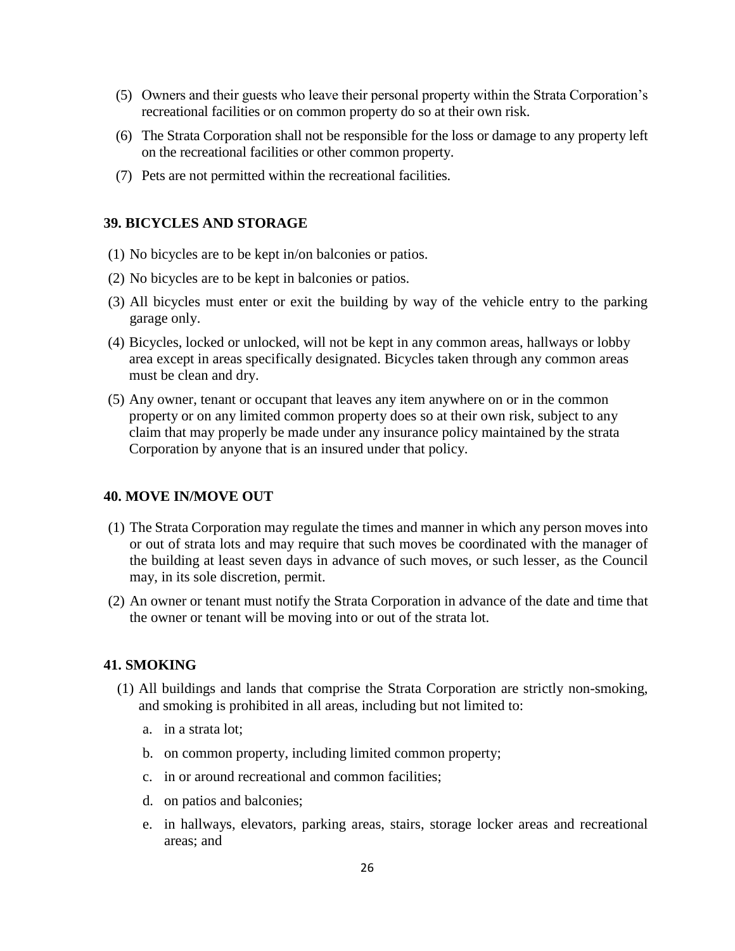- (5) Owners and their guests who leave their personal property within the Strata Corporation's recreational facilities or on common property do so at their own risk.
- (6) The Strata Corporation shall not be responsible for the loss or damage to any property left on the recreational facilities or other common property.
- (7) Pets are not permitted within the recreational facilities.

#### **39. BICYCLES AND STORAGE**

- (1) No bicycles are to be kept in/on balconies or patios.
- (2) No bicycles are to be kept in balconies or patios.
- (3) All bicycles must enter or exit the building by way of the vehicle entry to the parking garage only.
- (4) Bicycles, locked or unlocked, will not be kept in any common areas, hallways or lobby area except in areas specifically designated. Bicycles taken through any common areas must be clean and dry.
- (5) Any owner, tenant or occupant that leaves any item anywhere on or in the common property or on any limited common property does so at their own risk, subject to any claim that may properly be made under any insurance policy maintained by the strata Corporation by anyone that is an insured under that policy.

#### **40. MOVE IN/MOVE OUT**

- (1) The Strata Corporation may regulate the times and manner in which any person moves into or out of strata lots and may require that such moves be coordinated with the manager of the building at least seven days in advance of such moves, or such lesser, as the Council may, in its sole discretion, permit.
- (2) An owner or tenant must notify the Strata Corporation in advance of the date and time that the owner or tenant will be moving into or out of the strata lot.

#### **41. SMOKING**

- (1) All buildings and lands that comprise the Strata Corporation are strictly non-smoking, and smoking is prohibited in all areas, including but not limited to:
	- a. in a strata lot;
	- b. on common property, including limited common property;
	- c. in or around recreational and common facilities;
	- d. on patios and balconies;
	- e. in hallways, elevators, parking areas, stairs, storage locker areas and recreational areas; and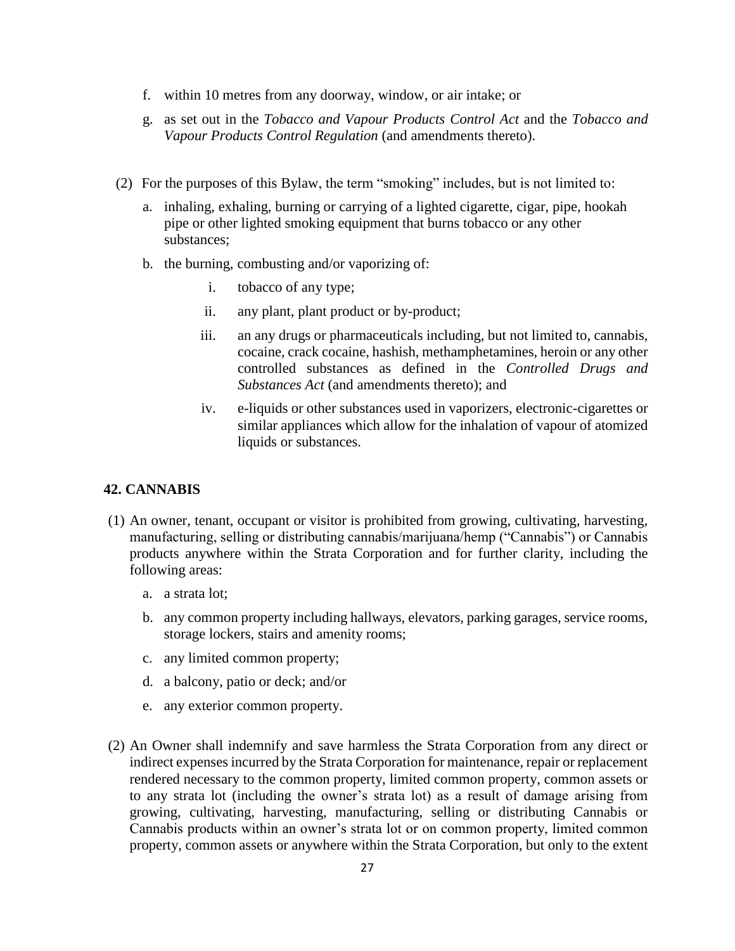- f. within 10 metres from any doorway, window, or air intake; or
- g. as set out in the *Tobacco and Vapour Products Control Act* and the *Tobacco and Vapour Products Control Regulation* (and amendments thereto).
- (2) For the purposes of this Bylaw, the term "smoking" includes, but is not limited to:
	- a. inhaling, exhaling, burning or carrying of a lighted cigarette, cigar, pipe, hookah pipe or other lighted smoking equipment that burns tobacco or any other substances;
	- b. the burning, combusting and/or vaporizing of:
		- i. tobacco of any type;
		- ii. any plant, plant product or by-product;
		- iii. an any drugs or pharmaceuticals including, but not limited to, cannabis, cocaine, crack cocaine, hashish, methamphetamines, heroin or any other controlled substances as defined in the *Controlled Drugs and Substances Act* (and amendments thereto); and
		- iv. e-liquids or other substances used in vaporizers, electronic-cigarettes or similar appliances which allow for the inhalation of vapour of atomized liquids or substances.

#### **42. CANNABIS**

- (1) An owner, tenant, occupant or visitor is prohibited from growing, cultivating, harvesting, manufacturing, selling or distributing cannabis/marijuana/hemp ("Cannabis") or Cannabis products anywhere within the Strata Corporation and for further clarity, including the following areas:
	- a. a strata lot;
	- b. any common property including hallways, elevators, parking garages, service rooms, storage lockers, stairs and amenity rooms;
	- c. any limited common property;
	- d. a balcony, patio or deck; and/or
	- e. any exterior common property.
- (2) An Owner shall indemnify and save harmless the Strata Corporation from any direct or indirect expenses incurred by the Strata Corporation for maintenance, repair or replacement rendered necessary to the common property, limited common property, common assets or to any strata lot (including the owner's strata lot) as a result of damage arising from growing, cultivating, harvesting, manufacturing, selling or distributing Cannabis or Cannabis products within an owner's strata lot or on common property, limited common property, common assets or anywhere within the Strata Corporation, but only to the extent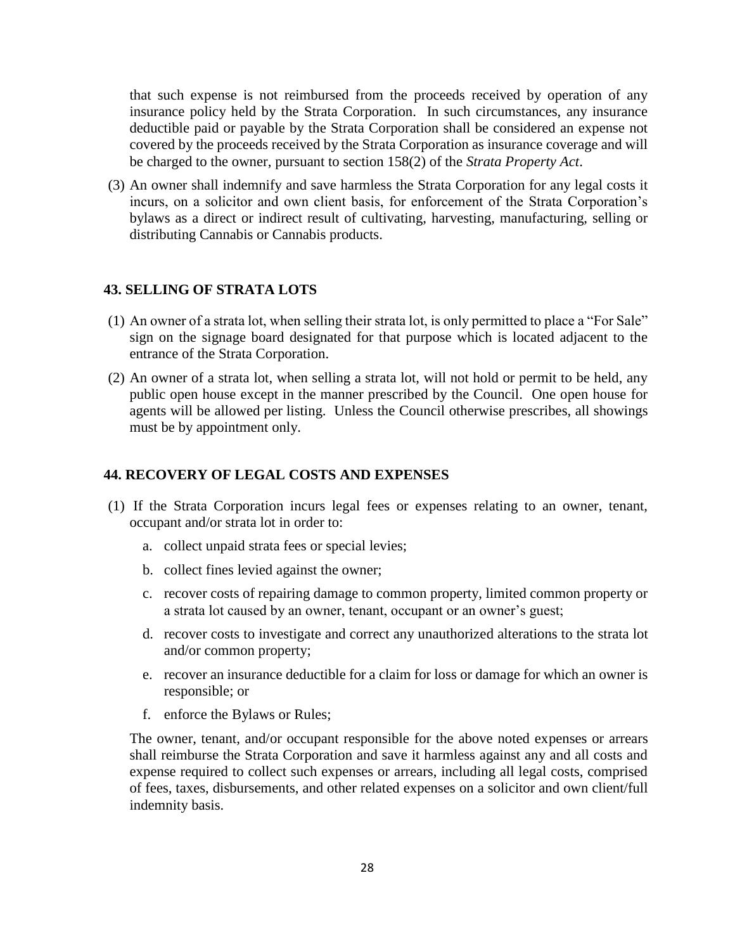that such expense is not reimbursed from the proceeds received by operation of any insurance policy held by the Strata Corporation. In such circumstances, any insurance deductible paid or payable by the Strata Corporation shall be considered an expense not covered by the proceeds received by the Strata Corporation as insurance coverage and will be charged to the owner, pursuant to section 158(2) of the *Strata Property Act*.

(3) An owner shall indemnify and save harmless the Strata Corporation for any legal costs it incurs, on a solicitor and own client basis, for enforcement of the Strata Corporation's bylaws as a direct or indirect result of cultivating, harvesting, manufacturing, selling or distributing Cannabis or Cannabis products.

#### **43. SELLING OF STRATA LOTS**

- (1) An owner of a strata lot, when selling their strata lot, is only permitted to place a "For Sale" sign on the signage board designated for that purpose which is located adjacent to the entrance of the Strata Corporation.
- (2) An owner of a strata lot, when selling a strata lot, will not hold or permit to be held, any public open house except in the manner prescribed by the Council. One open house for agents will be allowed per listing. Unless the Council otherwise prescribes, all showings must be by appointment only.

#### **44. RECOVERY OF LEGAL COSTS AND EXPENSES**

- (1) If the Strata Corporation incurs legal fees or expenses relating to an owner, tenant, occupant and/or strata lot in order to:
	- a. collect unpaid strata fees or special levies;
	- b. collect fines levied against the owner;
	- c. recover costs of repairing damage to common property, limited common property or a strata lot caused by an owner, tenant, occupant or an owner's guest;
	- d. recover costs to investigate and correct any unauthorized alterations to the strata lot and/or common property;
	- e. recover an insurance deductible for a claim for loss or damage for which an owner is responsible; or
	- f. enforce the Bylaws or Rules;

The owner, tenant, and/or occupant responsible for the above noted expenses or arrears shall reimburse the Strata Corporation and save it harmless against any and all costs and expense required to collect such expenses or arrears, including all legal costs, comprised of fees, taxes, disbursements, and other related expenses on a solicitor and own client/full indemnity basis.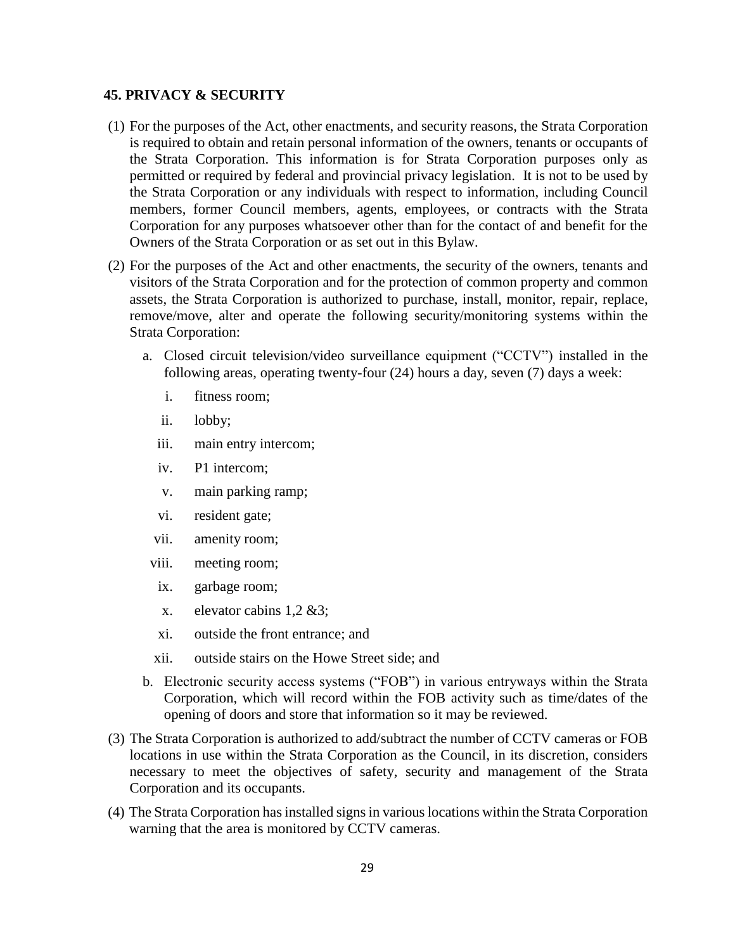#### **45. PRIVACY & SECURITY**

- (1) For the purposes of the Act, other enactments, and security reasons, the Strata Corporation is required to obtain and retain personal information of the owners, tenants or occupants of the Strata Corporation. This information is for Strata Corporation purposes only as permitted or required by federal and provincial privacy legislation. It is not to be used by the Strata Corporation or any individuals with respect to information, including Council members, former Council members, agents, employees, or contracts with the Strata Corporation for any purposes whatsoever other than for the contact of and benefit for the Owners of the Strata Corporation or as set out in this Bylaw.
- (2) For the purposes of the Act and other enactments, the security of the owners, tenants and visitors of the Strata Corporation and for the protection of common property and common assets, the Strata Corporation is authorized to purchase, install, monitor, repair, replace, remove/move, alter and operate the following security/monitoring systems within the Strata Corporation:
	- a. Closed circuit television/video surveillance equipment ("CCTV") installed in the following areas, operating twenty-four (24) hours a day, seven (7) days a week:
		- i. fitness room;
		- ii. lobby;
		- iii. main entry intercom;
		- iv. P1 intercom;
		- v. main parking ramp;
		- vi. resident gate;
		- vii. amenity room;
		- viii. meeting room;
		- ix. garbage room;
		- x. elevator cabins 1,2 &3;
		- xi. outside the front entrance; and
		- xii. outside stairs on the Howe Street side; and
	- b. Electronic security access systems ("FOB") in various entryways within the Strata Corporation, which will record within the FOB activity such as time/dates of the opening of doors and store that information so it may be reviewed.
- (3) The Strata Corporation is authorized to add/subtract the number of CCTV cameras or FOB locations in use within the Strata Corporation as the Council, in its discretion, considers necessary to meet the objectives of safety, security and management of the Strata Corporation and its occupants.
- (4) The Strata Corporation has installed signs in various locations within the Strata Corporation warning that the area is monitored by CCTV cameras.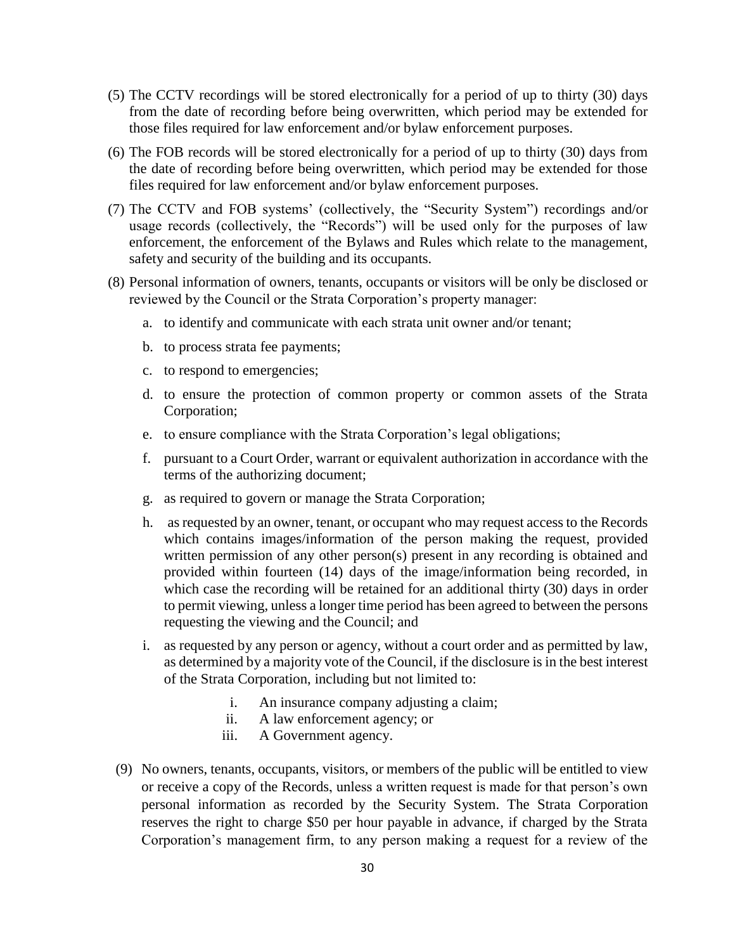- (5) The CCTV recordings will be stored electronically for a period of up to thirty (30) days from the date of recording before being overwritten, which period may be extended for those files required for law enforcement and/or bylaw enforcement purposes.
- (6) The FOB records will be stored electronically for a period of up to thirty (30) days from the date of recording before being overwritten, which period may be extended for those files required for law enforcement and/or bylaw enforcement purposes.
- (7) The CCTV and FOB systems' (collectively, the "Security System") recordings and/or usage records (collectively, the "Records") will be used only for the purposes of law enforcement, the enforcement of the Bylaws and Rules which relate to the management, safety and security of the building and its occupants.
- (8) Personal information of owners, tenants, occupants or visitors will be only be disclosed or reviewed by the Council or the Strata Corporation's property manager:
	- a. to identify and communicate with each strata unit owner and/or tenant;
	- b. to process strata fee payments;
	- c. to respond to emergencies;
	- d. to ensure the protection of common property or common assets of the Strata Corporation;
	- e. to ensure compliance with the Strata Corporation's legal obligations;
	- f. pursuant to a Court Order, warrant or equivalent authorization in accordance with the terms of the authorizing document;
	- g. as required to govern or manage the Strata Corporation;
	- h. as requested by an owner, tenant, or occupant who may request access to the Records which contains images/information of the person making the request, provided written permission of any other person(s) present in any recording is obtained and provided within fourteen (14) days of the image/information being recorded, in which case the recording will be retained for an additional thirty (30) days in order to permit viewing, unless a longer time period has been agreed to between the persons requesting the viewing and the Council; and
	- i. as requested by any person or agency, without a court order and as permitted by law, as determined by a majority vote of the Council, if the disclosure is in the best interest of the Strata Corporation, including but not limited to:
		- i. An insurance company adjusting a claim;
		- ii. A law enforcement agency; or
		- iii. A Government agency.
	- (9) No owners, tenants, occupants, visitors, or members of the public will be entitled to view or receive a copy of the Records, unless a written request is made for that person's own personal information as recorded by the Security System. The Strata Corporation reserves the right to charge \$50 per hour payable in advance, if charged by the Strata Corporation's management firm, to any person making a request for a review of the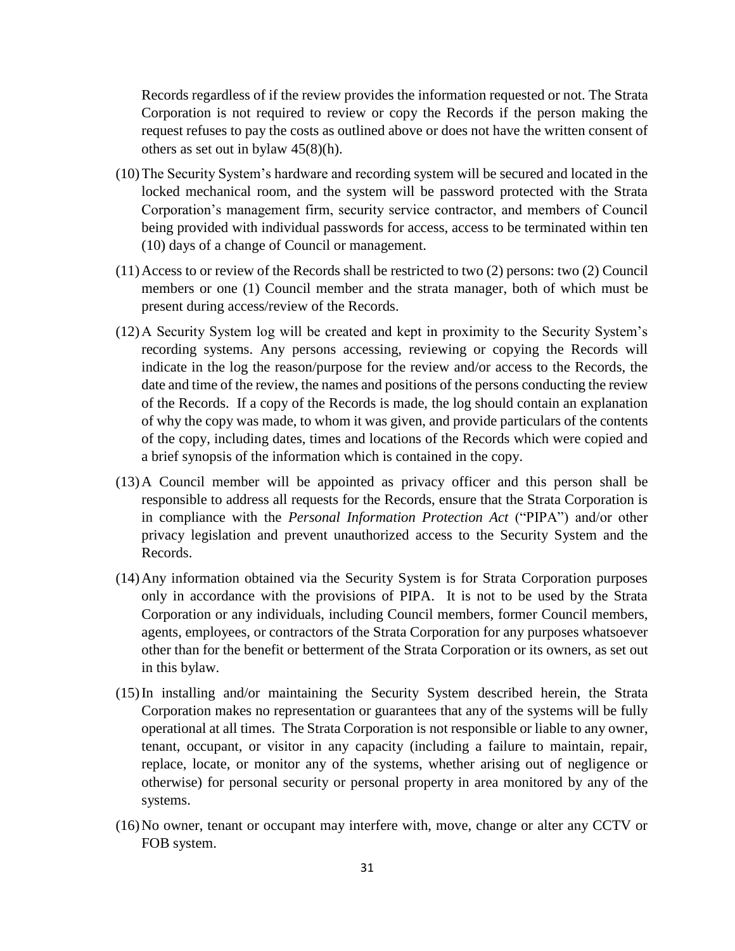Records regardless of if the review provides the information requested or not. The Strata Corporation is not required to review or copy the Records if the person making the request refuses to pay the costs as outlined above or does not have the written consent of others as set out in bylaw 45(8)(h).

- (10)The Security System's hardware and recording system will be secured and located in the locked mechanical room, and the system will be password protected with the Strata Corporation's management firm, security service contractor, and members of Council being provided with individual passwords for access, access to be terminated within ten (10) days of a change of Council or management.
- (11)Access to or review of the Records shall be restricted to two (2) persons: two (2) Council members or one (1) Council member and the strata manager, both of which must be present during access/review of the Records.
- (12)A Security System log will be created and kept in proximity to the Security System's recording systems. Any persons accessing, reviewing or copying the Records will indicate in the log the reason/purpose for the review and/or access to the Records, the date and time of the review, the names and positions of the persons conducting the review of the Records. If a copy of the Records is made, the log should contain an explanation of why the copy was made, to whom it was given, and provide particulars of the contents of the copy, including dates, times and locations of the Records which were copied and a brief synopsis of the information which is contained in the copy.
- (13)A Council member will be appointed as privacy officer and this person shall be responsible to address all requests for the Records, ensure that the Strata Corporation is in compliance with the *Personal Information Protection Act* ("PIPA") and/or other privacy legislation and prevent unauthorized access to the Security System and the Records.
- (14)Any information obtained via the Security System is for Strata Corporation purposes only in accordance with the provisions of PIPA. It is not to be used by the Strata Corporation or any individuals, including Council members, former Council members, agents, employees, or contractors of the Strata Corporation for any purposes whatsoever other than for the benefit or betterment of the Strata Corporation or its owners, as set out in this bylaw.
- (15)In installing and/or maintaining the Security System described herein, the Strata Corporation makes no representation or guarantees that any of the systems will be fully operational at all times. The Strata Corporation is not responsible or liable to any owner, tenant, occupant, or visitor in any capacity (including a failure to maintain, repair, replace, locate, or monitor any of the systems, whether arising out of negligence or otherwise) for personal security or personal property in area monitored by any of the systems.
- (16)No owner, tenant or occupant may interfere with, move, change or alter any CCTV or FOB system.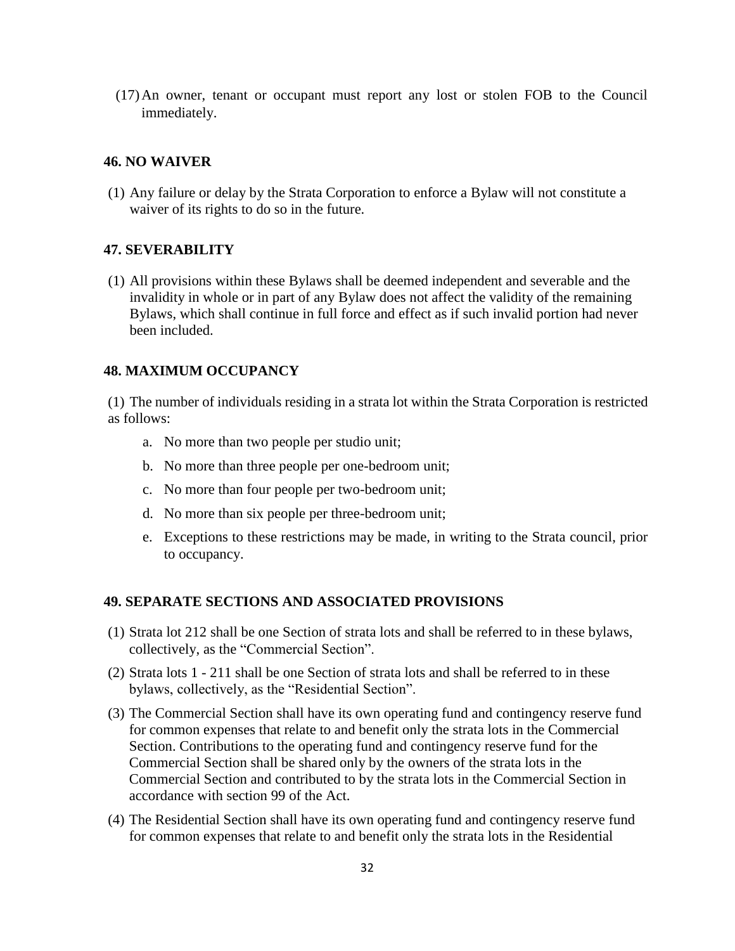(17)An owner, tenant or occupant must report any lost or stolen FOB to the Council immediately.

#### **46. NO WAIVER**

(1) Any failure or delay by the Strata Corporation to enforce a Bylaw will not constitute a waiver of its rights to do so in the future.

#### **47. SEVERABILITY**

(1) All provisions within these Bylaws shall be deemed independent and severable and the invalidity in whole or in part of any Bylaw does not affect the validity of the remaining Bylaws, which shall continue in full force and effect as if such invalid portion had never been included.

#### **48. MAXIMUM OCCUPANCY**

(1) The number of individuals residing in a strata lot within the Strata Corporation is restricted as follows:

- a. No more than two people per studio unit;
- b. No more than three people per one-bedroom unit;
- c. No more than four people per two-bedroom unit;
- d. No more than six people per three-bedroom unit;
- e. Exceptions to these restrictions may be made, in writing to the Strata council, prior to occupancy.

#### **49. SEPARATE SECTIONS AND ASSOCIATED PROVISIONS**

- (1) Strata lot 212 shall be one Section of strata lots and shall be referred to in these bylaws, collectively, as the "Commercial Section".
- (2) Strata lots 1 211 shall be one Section of strata lots and shall be referred to in these bylaws, collectively, as the "Residential Section".
- (3) The Commercial Section shall have its own operating fund and contingency reserve fund for common expenses that relate to and benefit only the strata lots in the Commercial Section. Contributions to the operating fund and contingency reserve fund for the Commercial Section shall be shared only by the owners of the strata lots in the Commercial Section and contributed to by the strata lots in the Commercial Section in accordance with section 99 of the Act.
- (4) The Residential Section shall have its own operating fund and contingency reserve fund for common expenses that relate to and benefit only the strata lots in the Residential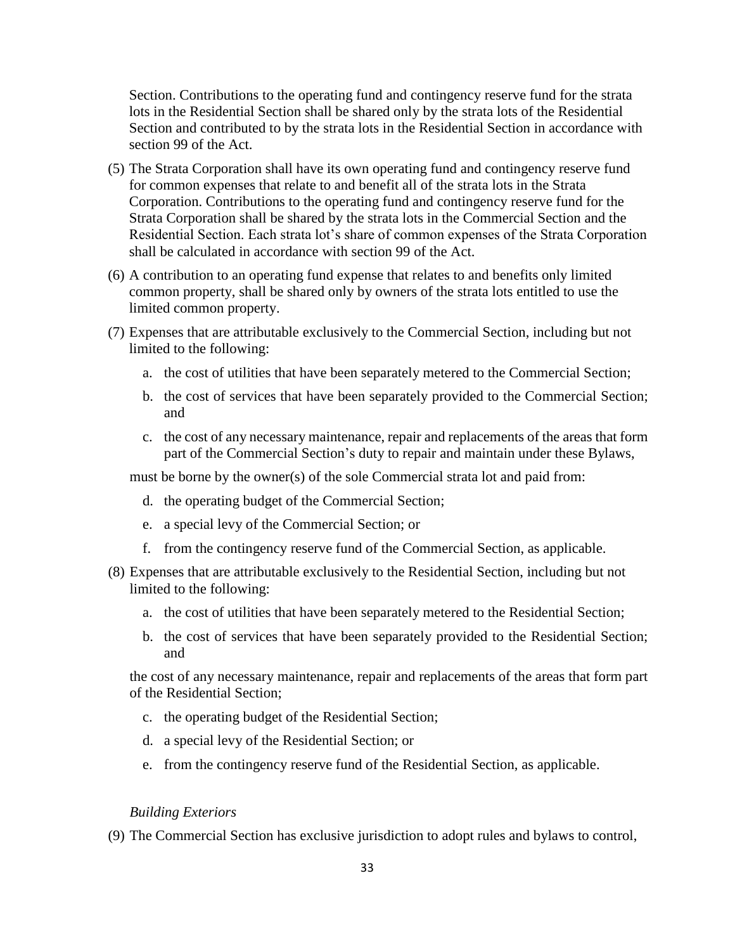Section. Contributions to the operating fund and contingency reserve fund for the strata lots in the Residential Section shall be shared only by the strata lots of the Residential Section and contributed to by the strata lots in the Residential Section in accordance with section 99 of the Act.

- (5) The Strata Corporation shall have its own operating fund and contingency reserve fund for common expenses that relate to and benefit all of the strata lots in the Strata Corporation. Contributions to the operating fund and contingency reserve fund for the Strata Corporation shall be shared by the strata lots in the Commercial Section and the Residential Section. Each strata lot's share of common expenses of the Strata Corporation shall be calculated in accordance with section 99 of the Act.
- (6) A contribution to an operating fund expense that relates to and benefits only limited common property, shall be shared only by owners of the strata lots entitled to use the limited common property.
- (7) Expenses that are attributable exclusively to the Commercial Section, including but not limited to the following:
	- a. the cost of utilities that have been separately metered to the Commercial Section;
	- b. the cost of services that have been separately provided to the Commercial Section; and
	- c. the cost of any necessary maintenance, repair and replacements of the areas that form part of the Commercial Section's duty to repair and maintain under these Bylaws,

must be borne by the owner(s) of the sole Commercial strata lot and paid from:

- d. the operating budget of the Commercial Section;
- e. a special levy of the Commercial Section; or
- f. from the contingency reserve fund of the Commercial Section, as applicable.
- (8) Expenses that are attributable exclusively to the Residential Section, including but not limited to the following:
	- a. the cost of utilities that have been separately metered to the Residential Section;
	- b. the cost of services that have been separately provided to the Residential Section; and

the cost of any necessary maintenance, repair and replacements of the areas that form part of the Residential Section;

- c. the operating budget of the Residential Section;
- d. a special levy of the Residential Section; or
- e. from the contingency reserve fund of the Residential Section, as applicable.

#### *Building Exteriors*

(9) The Commercial Section has exclusive jurisdiction to adopt rules and bylaws to control,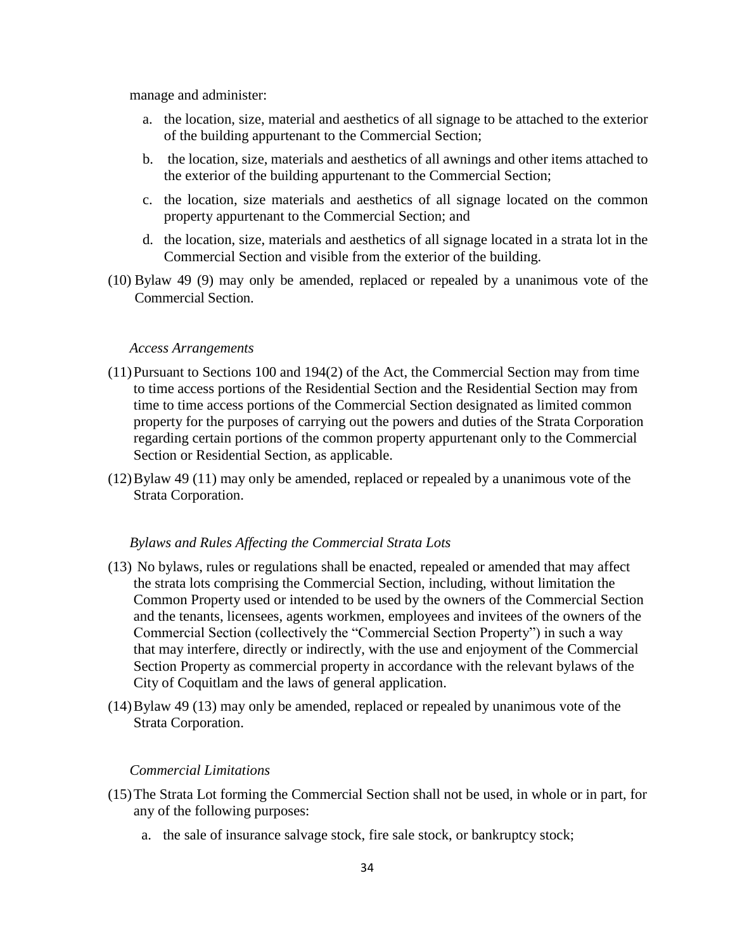manage and administer:

- a. the location, size, material and aesthetics of all signage to be attached to the exterior of the building appurtenant to the Commercial Section;
- b. the location, size, materials and aesthetics of all awnings and other items attached to the exterior of the building appurtenant to the Commercial Section;
- c. the location, size materials and aesthetics of all signage located on the common property appurtenant to the Commercial Section; and
- d. the location, size, materials and aesthetics of all signage located in a strata lot in the Commercial Section and visible from the exterior of the building.
- (10) Bylaw 49 (9) may only be amended, replaced or repealed by a unanimous vote of the Commercial Section.

#### *Access Arrangements*

- (11)Pursuant to Sections 100 and 194(2) of the Act, the Commercial Section may from time to time access portions of the Residential Section and the Residential Section may from time to time access portions of the Commercial Section designated as limited common property for the purposes of carrying out the powers and duties of the Strata Corporation regarding certain portions of the common property appurtenant only to the Commercial Section or Residential Section, as applicable.
- (12)Bylaw 49 (11) may only be amended, replaced or repealed by a unanimous vote of the Strata Corporation.

#### *Bylaws and Rules Affecting the Commercial Strata Lots*

- (13) No bylaws, rules or regulations shall be enacted, repealed or amended that may affect the strata lots comprising the Commercial Section, including, without limitation the Common Property used or intended to be used by the owners of the Commercial Section and the tenants, licensees, agents workmen, employees and invitees of the owners of the Commercial Section (collectively the "Commercial Section Property") in such a way that may interfere, directly or indirectly, with the use and enjoyment of the Commercial Section Property as commercial property in accordance with the relevant bylaws of the City of Coquitlam and the laws of general application.
- (14)Bylaw 49 (13) may only be amended, replaced or repealed by unanimous vote of the Strata Corporation.

#### *Commercial Limitations*

- (15)The Strata Lot forming the Commercial Section shall not be used, in whole or in part, for any of the following purposes:
	- a. the sale of insurance salvage stock, fire sale stock, or bankruptcy stock;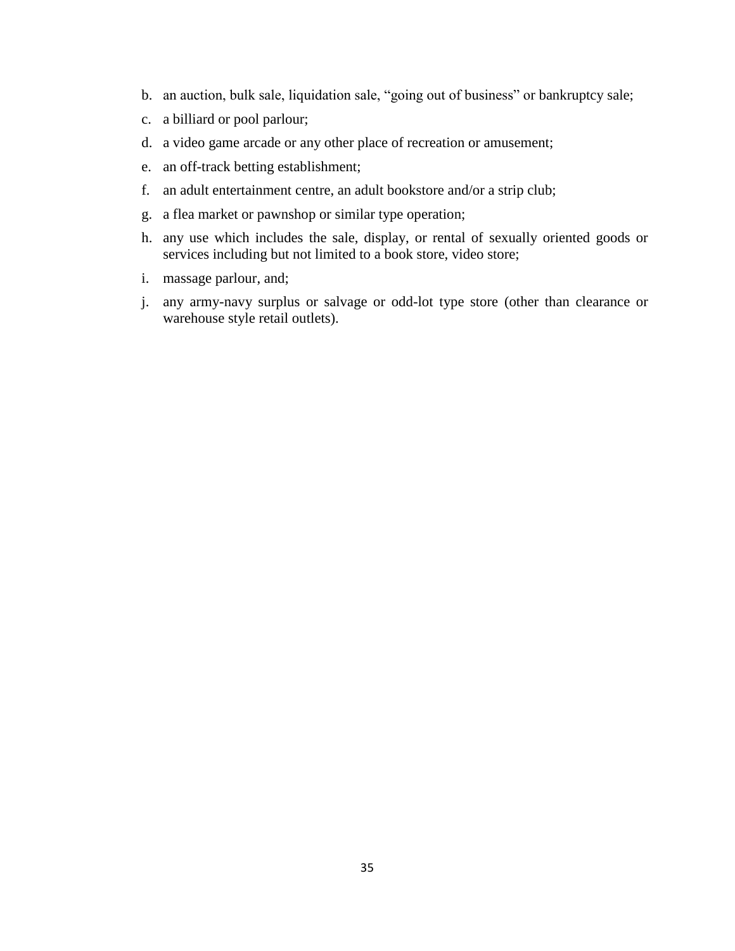- b. an auction, bulk sale, liquidation sale, "going out of business" or bankruptcy sale;
- c. a billiard or pool parlour;
- d. a video game arcade or any other place of recreation or amusement;
- e. an off-track betting establishment;
- f. an adult entertainment centre, an adult bookstore and/or a strip club;
- g. a flea market or pawnshop or similar type operation;
- h. any use which includes the sale, display, or rental of sexually oriented goods or services including but not limited to a book store, video store;
- i. massage parlour, and;
- j. any army-navy surplus or salvage or odd-lot type store (other than clearance or warehouse style retail outlets).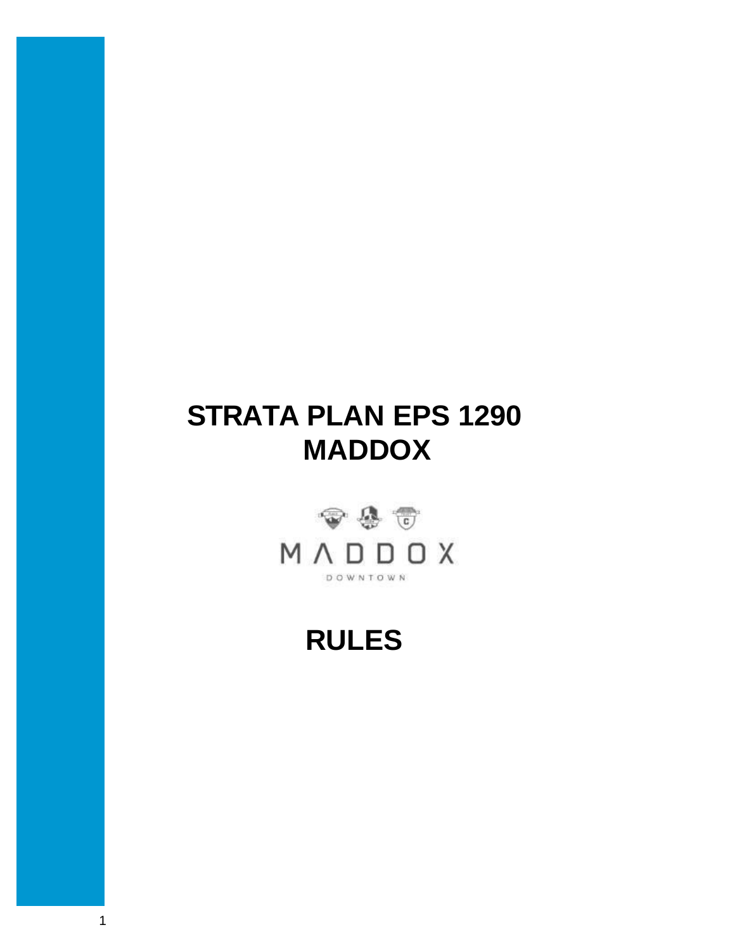# **STRATA PLAN EPS 1290 MADDOX**



# **RULES**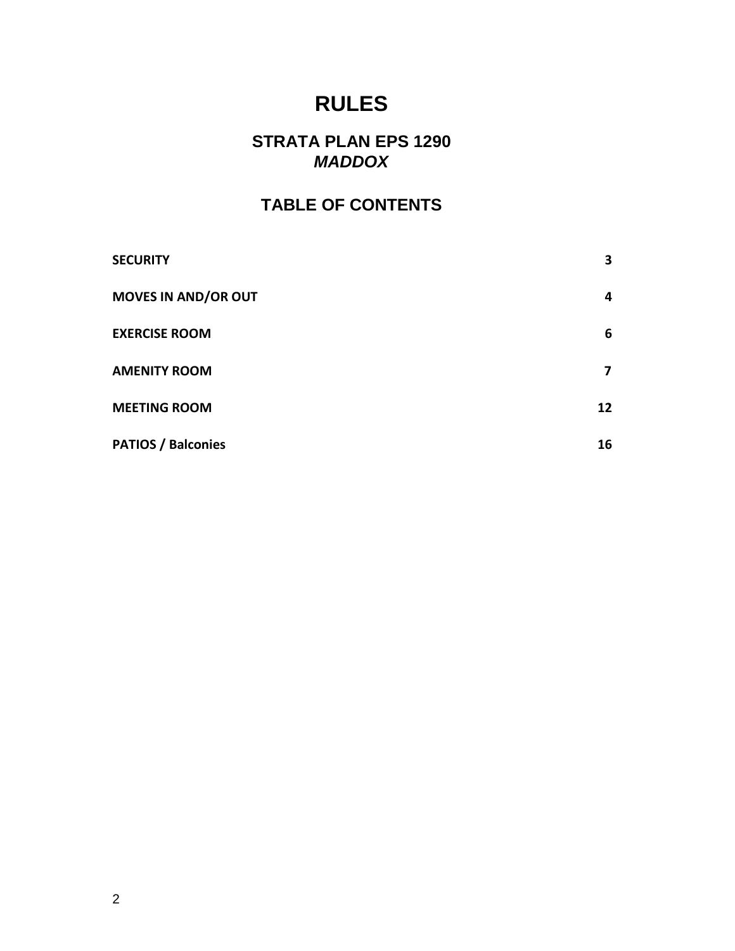# **RULES**

# **STRATA PLAN EPS 1290** *MADDOX*

# **TABLE OF CONTENTS**

| <b>SECURITY</b>            | 3  |
|----------------------------|----|
| <b>MOVES IN AND/OR OUT</b> | 4  |
| <b>EXERCISE ROOM</b>       | 6  |
| <b>AMENITY ROOM</b>        | 7  |
| <b>MEETING ROOM</b>        | 12 |
| <b>PATIOS / Balconies</b>  | 16 |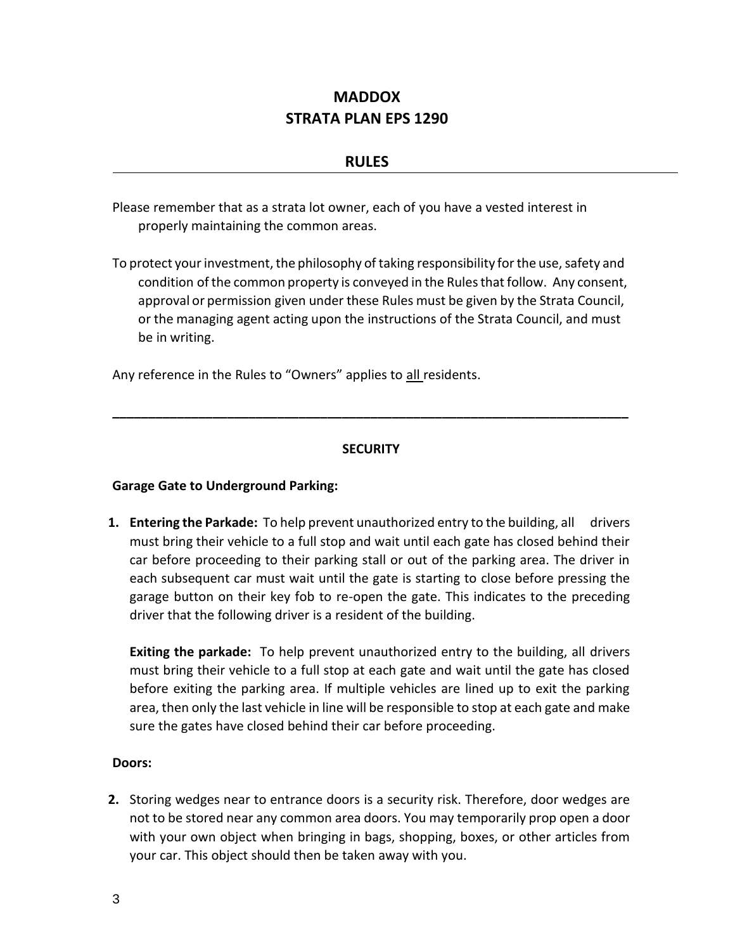# **MADDOX STRATA PLAN EPS 1290**

#### **RULES**

Please remember that as a strata lot owner, each of you have a vested interest in properly maintaining the common areas.

To protect your investment, the philosophy of taking responsibility for the use, safety and condition of the common property is conveyed in the Rules that follow. Any consent, approval or permission given under these Rules must be given by the Strata Council, or the managing agent acting upon the instructions of the Strata Council, and must be in writing.

Any reference in the Rules to "Owners" applies to all residents.

#### **SECURITY**

**\_\_\_\_\_\_\_\_\_\_\_\_\_\_\_\_\_\_\_\_\_\_\_\_\_\_\_\_\_\_\_\_\_\_\_\_\_\_\_\_\_\_\_\_\_\_\_\_\_\_\_\_\_\_\_\_\_\_\_\_\_\_\_\_\_\_\_\_\_\_\_\_**

#### **Garage Gate to Underground Parking:**

**1. Entering the Parkade:** To help prevent unauthorized entry to the building, all drivers must bring their vehicle to a full stop and wait until each gate has closed behind their car before proceeding to their parking stall or out of the parking area. The driver in each subsequent car must wait until the gate is starting to close before pressing the garage button on their key fob to re-open the gate. This indicates to the preceding driver that the following driver is a resident of the building.

**Exiting the parkade:** To help prevent unauthorized entry to the building, all drivers must bring their vehicle to a full stop at each gate and wait until the gate has closed before exiting the parking area. If multiple vehicles are lined up to exit the parking area, then only the last vehicle in line will be responsible to stop at each gate and make sure the gates have closed behind their car before proceeding.

#### **Doors:**

**2.** Storing wedges near to entrance doors is a security risk. Therefore, door wedges are not to be stored near any common area doors. You may temporarily prop open a door with your own object when bringing in bags, shopping, boxes, or other articles from your car. This object should then be taken away with you.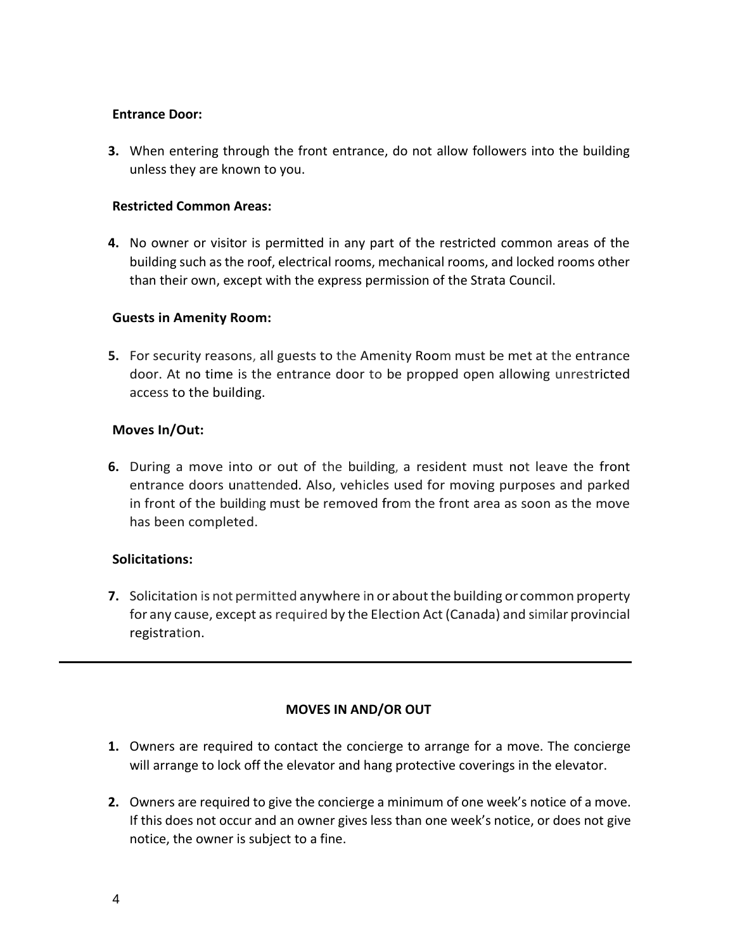#### **Entrance Door:**

**3.** When entering through the front entrance, do not allow followers into the building unless they are known to you.

#### **Restricted Common Areas:**

**4.** No owner or visitor is permitted in any part of the restricted common areas of the building such as the roof, electrical rooms, mechanical rooms, and locked rooms other than their own, except with the express permission of the Strata Council.

#### **Guests in Amenity Room:**

**5.** For security reasons, all guests to the Amenity Room must be met at the entrance door. At no time is the entrance door to be propped open allowing unrestricted access to the building.

#### **Moves In/Out:**

**6.** During a move into or out of the building, a resident must not leave the front entrance doors unattended. Also, vehicles used for moving purposes and parked in front of the building must be removed from the front area as soon as the move has been completed.

#### **Solicitations:**

**7.** Solicitation is not permitted anywhere in or about the building or common property for any cause, except as required by the Election Act (Canada) and similar provincial registration.

#### **MOVES IN AND/OR OUT**

- **1.** Owners are required to contact the concierge to arrange for a move. The concierge will arrange to lock off the elevator and hang protective coverings in the elevator.
- **2.** Owners are required to give the concierge a minimum of one week's notice of a move. If this does not occur and an owner gives less than one week's notice, or does not give notice, the owner is subject to a fine.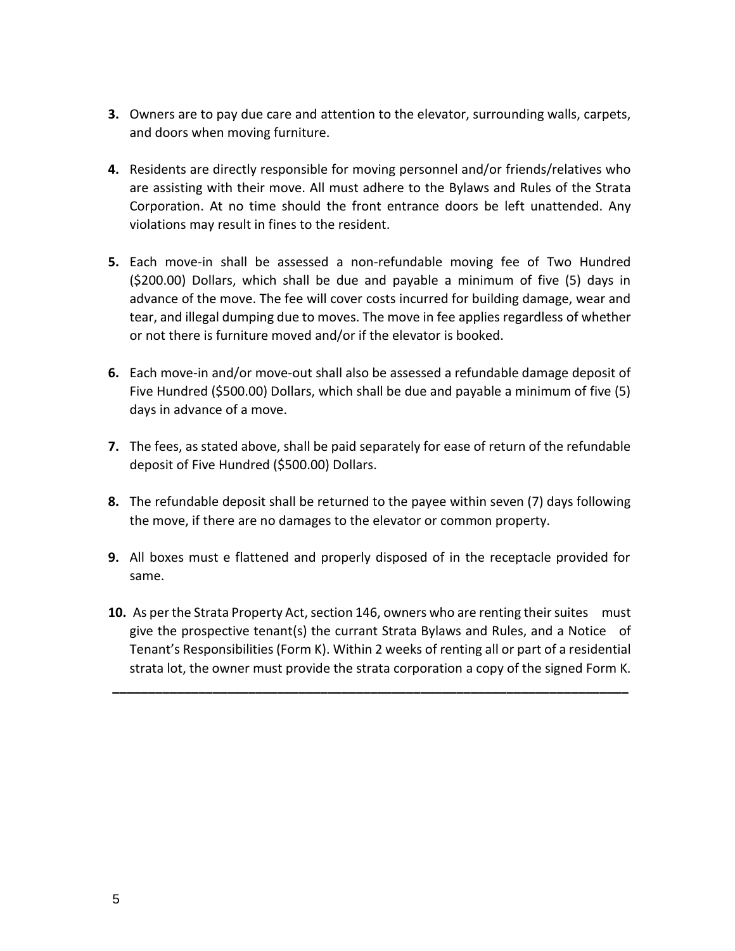- **3.** Owners are to pay due care and attention to the elevator, surrounding walls, carpets, and doors when moving furniture.
- **4.** Residents are directly responsible for moving personnel and/or friends/relatives who are assisting with their move. All must adhere to the Bylaws and Rules of the Strata Corporation. At no time should the front entrance doors be left unattended. Any violations may result in fines to the resident.
- **5.** Each move-in shall be assessed a non-refundable moving fee of Two Hundred (\$200.00) Dollars, which shall be due and payable a minimum of five (5) days in advance of the move. The fee will cover costs incurred for building damage, wear and tear, and illegal dumping due to moves. The move in fee applies regardless of whether or not there is furniture moved and/or if the elevator is booked.
- **6.** Each move-in and/or move-out shall also be assessed a refundable damage deposit of Five Hundred (\$500.00) Dollars, which shall be due and payable a minimum of five (5) days in advance of a move.
- **7.** The fees, as stated above, shall be paid separately for ease of return of the refundable deposit of Five Hundred (\$500.00) Dollars.
- **8.** The refundable deposit shall be returned to the payee within seven (7) days following the move, if there are no damages to the elevator or common property.
- **9.** All boxes must e flattened and properly disposed of in the receptacle provided for same.
- **10.** As per the Strata Property Act, section 146, owners who are renting their suites must give the prospective tenant(s) the currant Strata Bylaws and Rules, and a Notice of Tenant's Responsibilities (Form K). Within 2 weeks of renting all or part of a residential strata lot, the owner must provide the strata corporation a copy of the signed Form K.

**\_\_\_\_\_\_\_\_\_\_\_\_\_\_\_\_\_\_\_\_\_\_\_\_\_\_\_\_\_\_\_\_\_\_\_\_\_\_\_\_\_\_\_\_\_\_\_\_\_\_\_\_\_\_\_\_\_\_\_\_\_\_\_\_\_\_\_\_\_\_\_\_**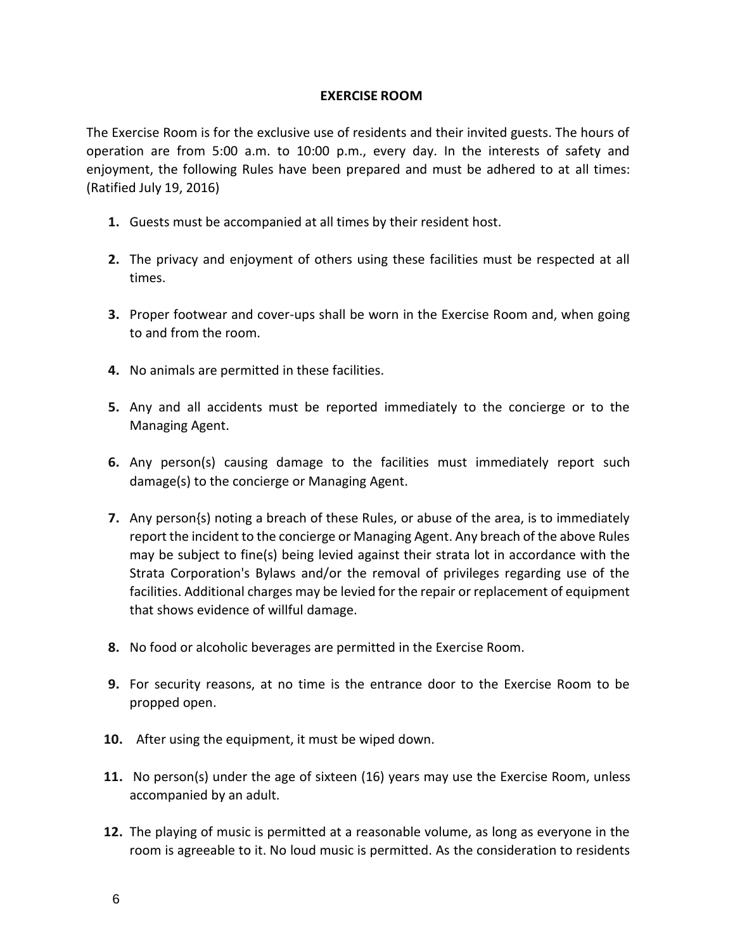#### **EXERCISE ROOM**

The Exercise Room is for the exclusive use of residents and their invited guests. The hours of operation are from 5:00 a.m. to 10:00 p.m., every day. In the interests of safety and enjoyment, the following Rules have been prepared and must be adhered to at all times: (Ratified July 19, 2016)

- **1.** Guests must be accompanied at all times by their resident host.
- **2.** The privacy and enjoyment of others using these facilities must be respected at all times.
- **3.** Proper footwear and cover-ups shall be worn in the Exercise Room and, when going to and from the room.
- **4.** No animals are permitted in these facilities.
- **5.** Any and all accidents must be reported immediately to the concierge or to the Managing Agent.
- **6.** Any person(s) causing damage to the facilities must immediately report such damage(s) to the concierge or Managing Agent.
- **7.** Any person{s) noting a breach of these Rules, or abuse of the area, is to immediately report the incident to the concierge or Managing Agent. Any breach of the above Rules may be subject to fine(s) being levied against their strata lot in accordance with the Strata Corporation's Bylaws and/or the removal of privileges regarding use of the facilities. Additional charges may be levied for the repair or replacement of equipment that shows evidence of willful damage.
- **8.** No food or alcoholic beverages are permitted in the Exercise Room.
- **9.** For security reasons, at no time is the entrance door to the Exercise Room to be propped open.
- **10.** After using the equipment, it must be wiped down.
- **11.** No person(s) under the age of sixteen (16) years may use the Exercise Room, unless accompanied by an adult.
- **12.** The playing of music is permitted at a reasonable volume, as long as everyone in the room is agreeable to it. No loud music is permitted. As the consideration to residents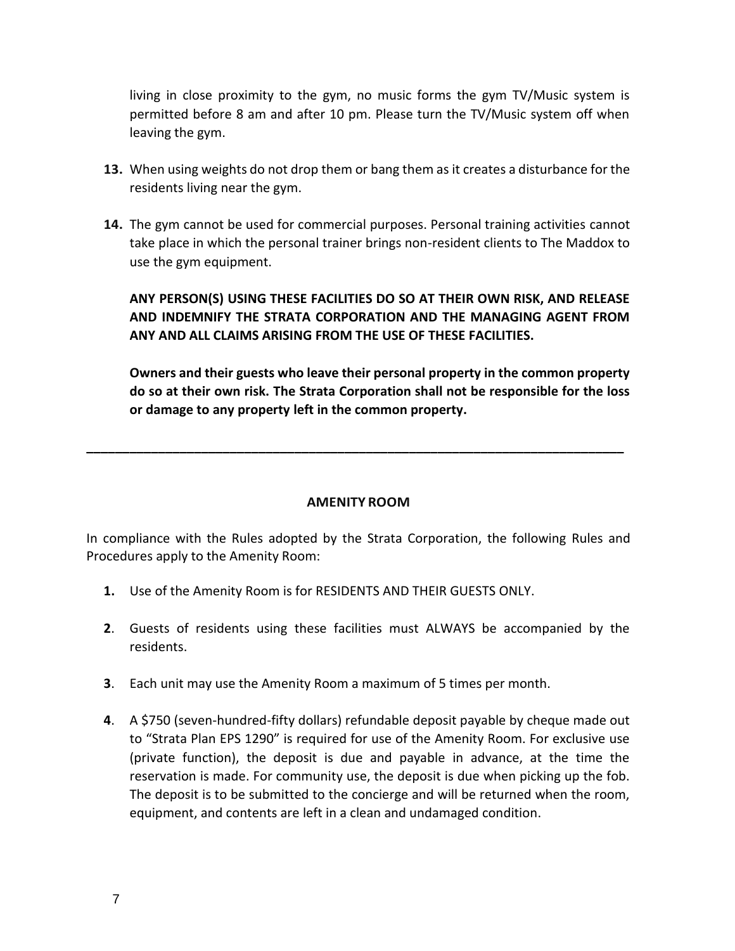living in close proximity to the gym, no music forms the gym TV/Music system is permitted before 8 am and after 10 pm. Please turn the TV/Music system off when leaving the gym.

- **13.** When using weights do not drop them or bang them as it creates a disturbance for the residents living near the gym.
- **14.** The gym cannot be used for commercial purposes. Personal training activities cannot take place in which the personal trainer brings non-resident clients to The Maddox to use the gym equipment.

**ANY PERSON(S) USING THESE FACILITIES DO SO AT THEIR OWN RISK, AND RELEASE AND INDEMNIFY THE STRATA CORPORATION AND THE MANAGING AGENT FROM ANY AND ALL CLAIMS ARISING FROM THE USE OF THESE FACILITIES.**

**Owners and their guests who leave their personal property in the common property do so at their own risk. The Strata Corporation shall not be responsible for the loss or damage to any property left in the common property.**

#### **AMENITY ROOM**

**\_\_\_\_\_\_\_\_\_\_\_\_\_\_\_\_\_\_\_\_\_\_\_\_\_\_\_\_\_\_\_\_\_\_\_\_\_\_\_\_\_\_\_\_\_\_\_\_\_\_\_\_\_\_\_\_\_\_\_\_\_\_\_\_\_\_\_\_\_\_\_\_\_\_\_**

In compliance with the Rules adopted by the Strata Corporation, the following Rules and Procedures apply to the Amenity Room:

- **1.** Use of the Amenity Room is for RESIDENTS AND THEIR GUESTS ONLY.
- **2**. Guests of residents using these facilities must ALWAYS be accompanied by the residents.
- **3**. Each unit may use the Amenity Room a maximum of 5 times per month.
- **4**. A \$750 (seven-hundred-fifty dollars) refundable deposit payable by cheque made out to "Strata Plan EPS 1290" is required for use of the Amenity Room. For exclusive use (private function), the deposit is due and payable in advance, at the time the reservation is made. For community use, the deposit is due when picking up the fob. The deposit is to be submitted to the concierge and will be returned when the room, equipment, and contents are left in a clean and undamaged condition.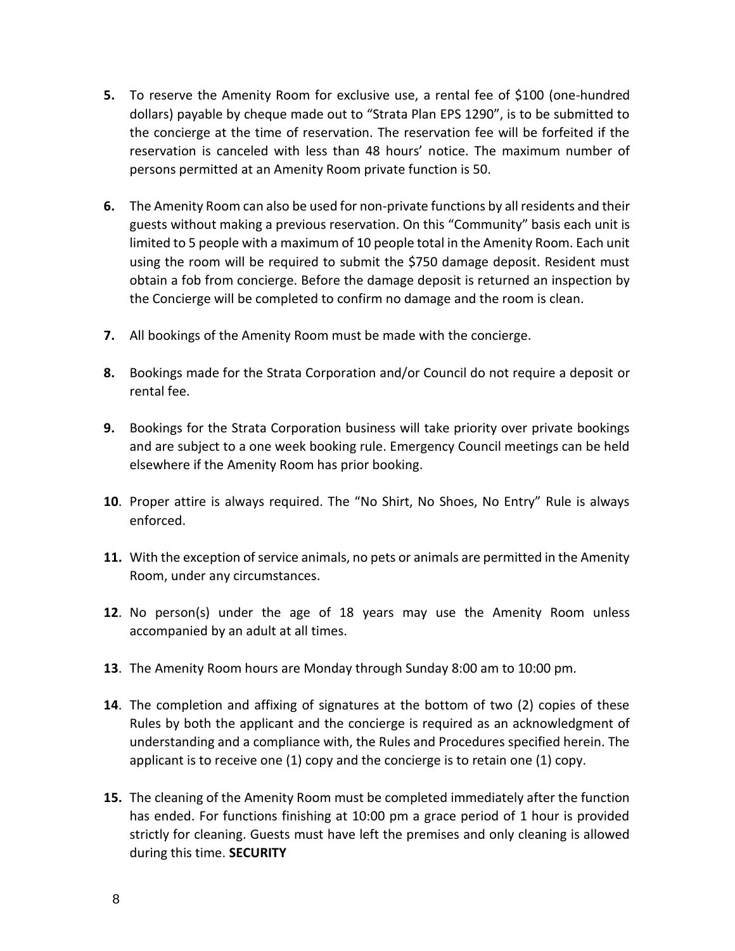- **5.** To reserve the Amenity Room for exclusive use, a rental fee of \$100 (one-hundred dollars) payable by cheque made out to "Strata Plan EPS 1290", is to be submitted to the concierge at the time of reservation. The reservation fee will be forfeited if the reservation is canceled with less than 48 hours' notice. The maximum number of persons permitted at an Amenity Room private function is 50.
- **6.** The Amenity Room can also be used for non-private functions by all residents and their guests without making a previous reservation. On this "Community" basis each unit is limited to 5 people with a maximum of 10 people total in the Amenity Room. Each unit using the room will be required to submit the \$750 damage deposit. Resident must obtain a fob from concierge. Before the damage deposit is returned an inspection by the Concierge will be completed to confirm no damage and the room is clean.
- **7.** All bookings of the Amenity Room must be made with the concierge.
- **8.** Bookings made for the Strata Corporation and/or Council do not require a deposit or rental fee.
- **9.** Bookings for the Strata Corporation business will take priority over private bookings and are subject to a one week booking rule. Emergency Council meetings can be held elsewhere if the Amenity Room has prior booking.
- **10**. Proper attire is always required. The "No Shirt, No Shoes, No Entry" Rule is always enforced.
- **11.** With the exception of service animals, no pets or animals are permitted in the Amenity Room, under any circumstances.
- **12**. No person(s) under the age of 18 years may use the Amenity Room unless accompanied by an adult at all times.
- **13**. The Amenity Room hours are Monday through Sunday 8:00 am to 10:00 pm.
- **14**. The completion and affixing of signatures at the bottom of two (2) copies of these Rules by both the applicant and the concierge is required as an acknowledgment of understanding and a compliance with, the Rules and Procedures specified herein. The applicant is to receive one (1) copy and the concierge is to retain one (1) copy.
- **15.** The cleaning of the Amenity Room must be completed immediately after the function has ended. For functions finishing at 10:00 pm a grace period of 1 hour is provided strictly for cleaning. Guests must have left the premises and only cleaning is allowed during this time. **SECURITY**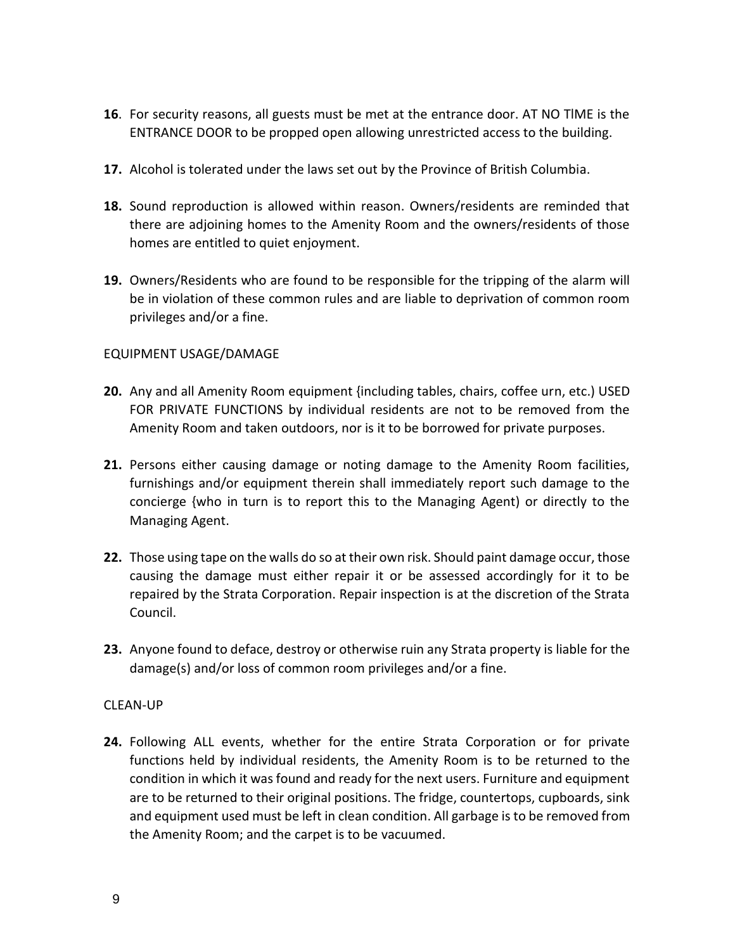- **16**. For security reasons, all guests must be met at the entrance door. AT NO TlME is the ENTRANCE DOOR to be propped open allowing unrestricted access to the building.
- **17.** Alcohol is tolerated under the laws set out by the Province of British Columbia.
- **18.** Sound reproduction is allowed within reason. Owners/residents are reminded that there are adjoining homes to the Amenity Room and the owners/residents of those homes are entitled to quiet enjoyment.
- **19.** Owners/Residents who are found to be responsible for the tripping of the alarm will be in violation of these common rules and are liable to deprivation of common room privileges and/or a fine.

## EQUIPMENT USAGE/DAMAGE

- **20.** Any and all Amenity Room equipment {including tables, chairs, coffee urn, etc.) USED FOR PRIVATE FUNCTIONS by individual residents are not to be removed from the Amenity Room and taken outdoors, nor is it to be borrowed for private purposes.
- **21.** Persons either causing damage or noting damage to the Amenity Room facilities, furnishings and/or equipment therein shall immediately report such damage to the concierge {who in turn is to report this to the Managing Agent) or directly to the Managing Agent.
- **22.** Those using tape on the walls do so at their own risk. Should paint damage occur, those causing the damage must either repair it or be assessed accordingly for it to be repaired by the Strata Corporation. Repair inspection is at the discretion of the Strata Council.
- **23.** Anyone found to deface, destroy or otherwise ruin any Strata property is liable for the damage(s) and/or loss of common room privileges and/or a fine.

#### CLEAN-UP

**24.** Following ALL events, whether for the entire Strata Corporation or for private functions held by individual residents, the Amenity Room is to be returned to the condition in which it was found and ready for the next users. Furniture and equipment are to be returned to their original positions. The fridge, countertops, cupboards, sink and equipment used must be left in clean condition. All garbage is to be removed from the Amenity Room; and the carpet is to be vacuumed.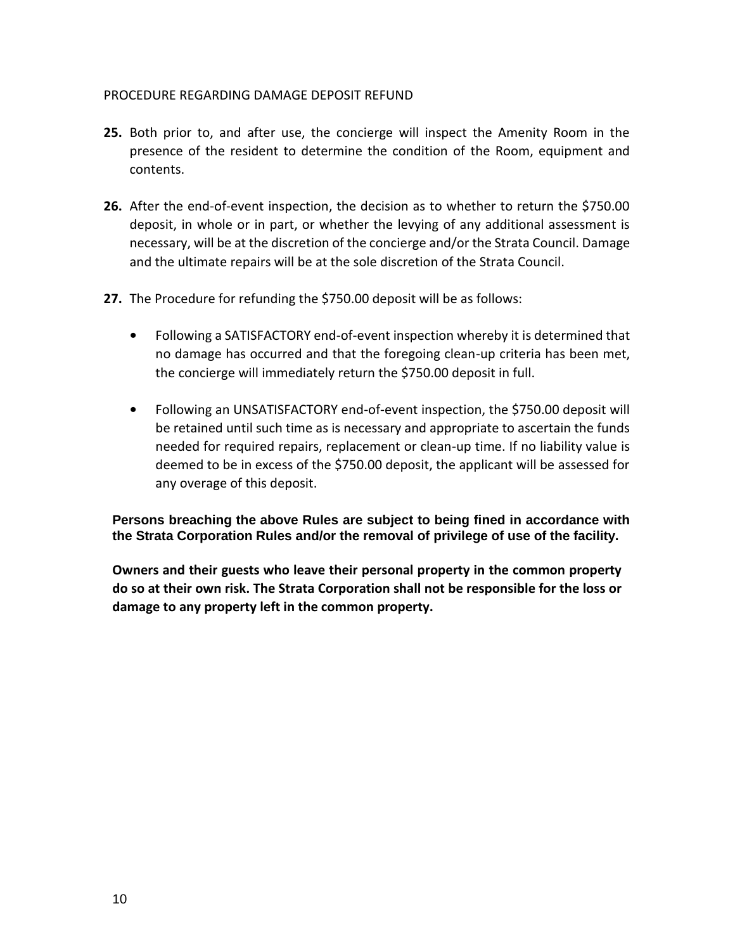#### PROCEDURE REGARDING DAMAGE DEPOSIT REFUND

- **25.** Both prior to, and after use, the concierge will inspect the Amenity Room in the presence of the resident to determine the condition of the Room, equipment and contents.
- **26.** After the end-of-event inspection, the decision as to whether to return the \$750.00 deposit, in whole or in part, or whether the levying of any additional assessment is necessary, will be at the discretion of the concierge and/or the Strata Council. Damage and the ultimate repairs will be at the sole discretion of the Strata Council.
- **27.** The Procedure for refunding the \$750.00 deposit will be as follows:
	- **•** Following a SATISFACTORY end-of-event inspection whereby it is determined that no damage has occurred and that the foregoing clean-up criteria has been met, the concierge will immediately return the \$750.00 deposit in full.
	- **•** Following an UNSATISFACTORY end-of-event inspection, the \$750.00 deposit will be retained until such time as is necessary and appropriate to ascertain the funds needed for required repairs, replacement or clean-up time. If no liability value is deemed to be in excess of the \$750.00 deposit, the applicant will be assessed for any overage of this deposit.

**Persons breaching the above Rules are subject to being fined in accordance with the Strata Corporation Rules and/or the removal of privilege of use of the facility.**

**Owners and their guests who leave their personal property in the common property do so at their own risk. The Strata Corporation shall not be responsible for the loss or damage to any property left in the common property.**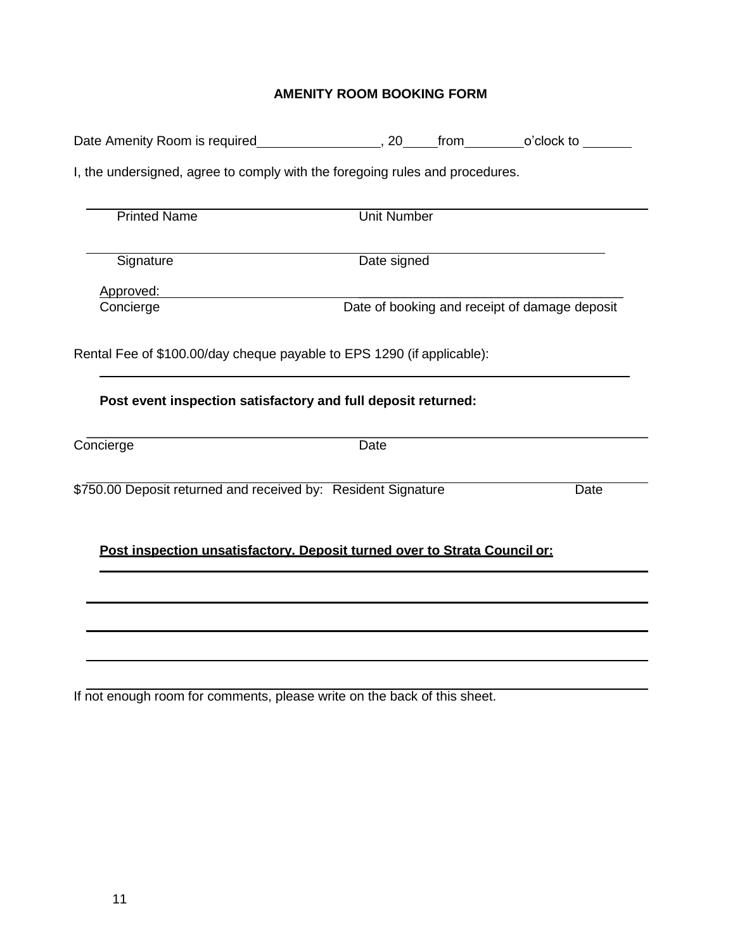# **AMENITY ROOM BOOKING FORM**

| I, the undersigned, agree to comply with the foregoing rules and procedures. |                    |  |                                               |  |  |  |  |
|------------------------------------------------------------------------------|--------------------|--|-----------------------------------------------|--|--|--|--|
| <b>Printed Name</b>                                                          | <b>Unit Number</b> |  |                                               |  |  |  |  |
| Signature                                                                    | Date signed        |  |                                               |  |  |  |  |
| Approved:                                                                    |                    |  |                                               |  |  |  |  |
| Concierge                                                                    |                    |  | Date of booking and receipt of damage deposit |  |  |  |  |
| Rental Fee of \$100.00/day cheque payable to EPS 1290 (if applicable):       |                    |  |                                               |  |  |  |  |
| Post event inspection satisfactory and full deposit returned:                |                    |  |                                               |  |  |  |  |
| Concierge                                                                    | Date               |  |                                               |  |  |  |  |
| \$750.00 Deposit returned and received by: Resident Signature                |                    |  | Date                                          |  |  |  |  |
| Post inspection unsatisfactory. Deposit turned over to Strata Council or:    |                    |  |                                               |  |  |  |  |
|                                                                              |                    |  |                                               |  |  |  |  |
|                                                                              |                    |  |                                               |  |  |  |  |
|                                                                              |                    |  |                                               |  |  |  |  |
| If not enough room for comments, please write on the back of this sheet.     |                    |  |                                               |  |  |  |  |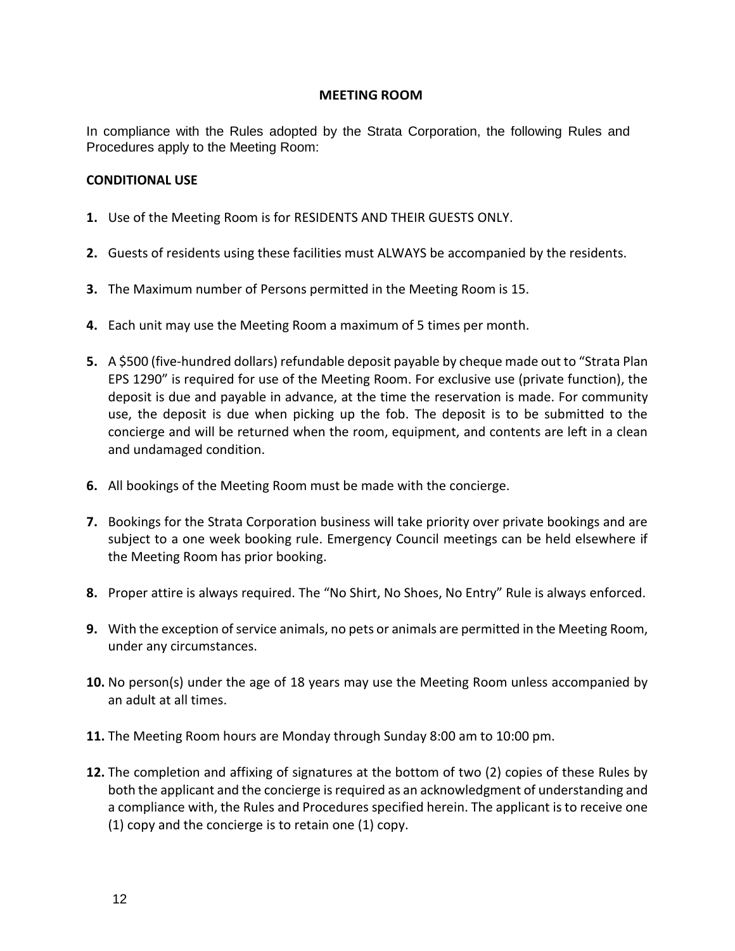#### **MEETING ROOM**

In compliance with the Rules adopted by the Strata Corporation, the following Rules and Procedures apply to the Meeting Room:

#### **CONDITIONAL USE**

- **1.** Use of the Meeting Room is for RESIDENTS AND THEIR GUESTS ONLY.
- **2.** Guests of residents using these facilities must ALWAYS be accompanied by the residents.
- **3.** The Maximum number of Persons permitted in the Meeting Room is 15.
- **4.** Each unit may use the Meeting Room a maximum of 5 times per month.
- **5.** A \$500 (five-hundred dollars) refundable deposit payable by cheque made out to "Strata Plan EPS 1290" is required for use of the Meeting Room. For exclusive use (private function), the deposit is due and payable in advance, at the time the reservation is made. For community use, the deposit is due when picking up the fob. The deposit is to be submitted to the concierge and will be returned when the room, equipment, and contents are left in a clean and undamaged condition.
- **6.** All bookings of the Meeting Room must be made with the concierge.
- **7.** Bookings for the Strata Corporation business will take priority over private bookings and are subject to a one week booking rule. Emergency Council meetings can be held elsewhere if the Meeting Room has prior booking.
- **8.** Proper attire is always required. The "No Shirt, No Shoes, No Entry" Rule is always enforced.
- **9.** With the exception of service animals, no pets or animals are permitted in the Meeting Room, under any circumstances.
- **10.** No person(s) under the age of 18 years may use the Meeting Room unless accompanied by an adult at all times.
- **11.** The Meeting Room hours are Monday through Sunday 8:00 am to 10:00 pm.
- **12.** The completion and affixing of signatures at the bottom of two (2) copies of these Rules by both the applicant and the concierge is required as an acknowledgment of understanding and a compliance with, the Rules and Procedures specified herein. The applicant is to receive one (1) copy and the concierge is to retain one (1) copy.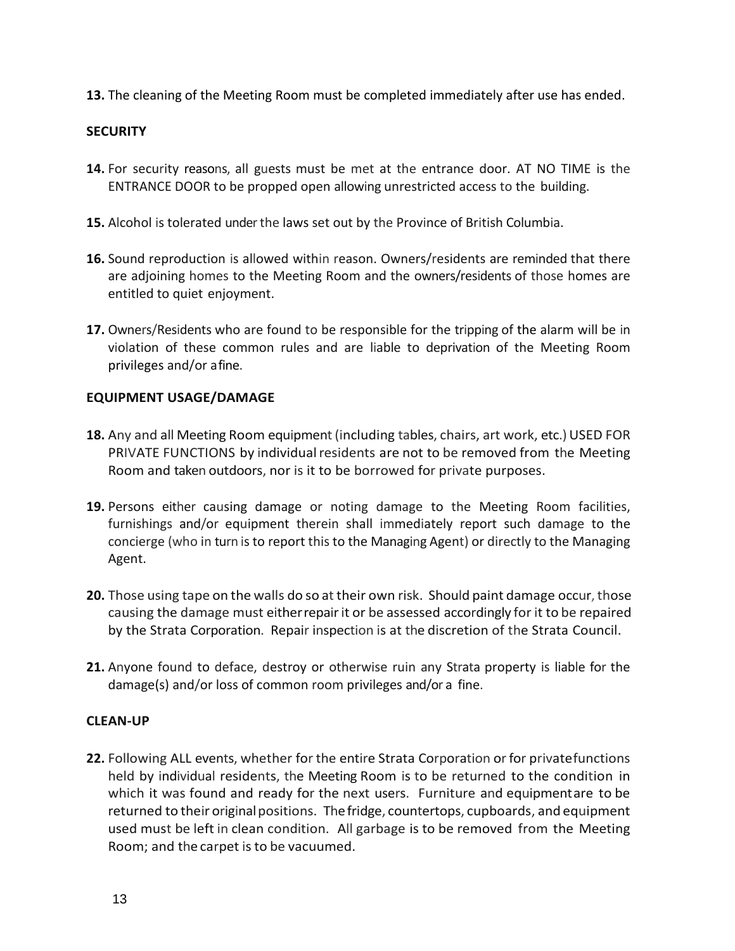**13.** The cleaning of the Meeting Room must be completed immediately after use has ended.

## **SECURITY**

- **14.** For security reasons, all guests must be met at the entrance door. AT NO TIME is the ENTRANCE DOOR to be propped open allowing unrestricted access to the building.
- **15.** Alcohol is tolerated under the laws set out by the Province of British Columbia.
- **16.** Sound reproduction is allowed within reason. Owners/residents are reminded that there are adjoining homes to the Meeting Room and the owners/residents of those homes are entitled to quiet enjoyment.
- **17.** Owners/Residents who are found to be responsible for the tripping of the alarm will be in violation of these common rules and are liable to deprivation of the Meeting Room privileges and/or afine.

## **EQUIPMENT USAGE/DAMAGE**

- **18.** Any and all Meeting Room equipment (including tables, chairs, art work, etc.) USED FOR PRIVATE FUNCTIONS by individual residents are not to be removed from the Meeting Room and taken outdoors, nor is it to be borrowed for private purposes.
- **19.** Persons either causing damage or noting damage to the Meeting Room facilities, furnishings and/or equipment therein shall immediately report such damage to the concierge (who in turn is to report this to the Managing Agent) or directly to the Managing Agent.
- **20.** Those using tape on the walls do so at their own risk. Should paint damage occur, those causing the damage must eitherrepairit or be assessed accordingly for it to be repaired by the Strata Corporation. Repair inspection is at the discretion of the Strata Council.
- **21.** Anyone found to deface, destroy or otherwise ruin any Strata property is liable for the damage(s) and/or loss of common room privileges and/or a fine.

#### **CLEAN-UP**

**22.** Following ALL events, whether for the entire Strata Corporation or for privatefunctions held by individual residents, the Meeting Room is to be returned to the condition in which it was found and ready for the next users. Furniture and equipmentare to be returned to their original positions. The fridge, countertops, cupboards, and equipment used must be left in clean condition. All garbage is to be removed from the Meeting Room; and the carpet is to be vacuumed.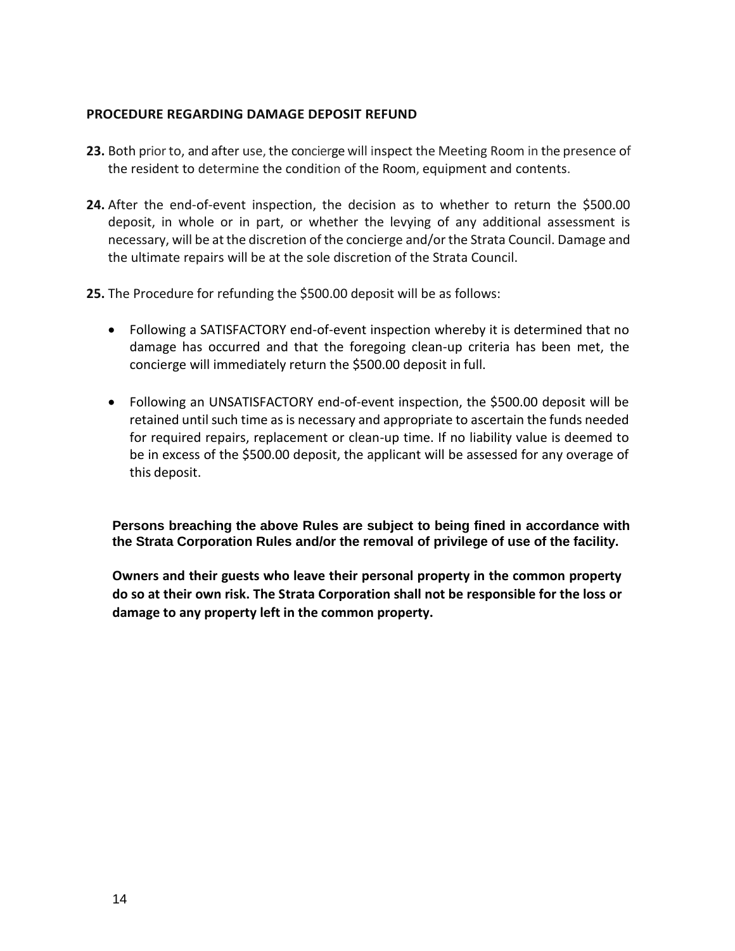#### **PROCEDURE REGARDING DAMAGE DEPOSIT REFUND**

- **23.** Both prior to, and after use, the concierge will inspect the Meeting Room in the presence of the resident to determine the condition of the Room, equipment and contents.
- **24.** After the end-of-event inspection, the decision as to whether to return the \$500.00 deposit, in whole or in part, or whether the levying of any additional assessment is necessary, will be at the discretion of the concierge and/or the Strata Council. Damage and the ultimate repairs will be at the sole discretion of the Strata Council.
- **25.** The Procedure for refunding the \$500.00 deposit will be as follows:
	- Following a SATISFACTORY end-of-event inspection whereby it is determined that no damage has occurred and that the foregoing clean-up criteria has been met, the concierge will immediately return the \$500.00 deposit in full.
	- Following an UNSATISFACTORY end-of-event inspection, the \$500.00 deposit will be retained until such time as is necessary and appropriate to ascertain the funds needed for required repairs, replacement or clean-up time. If no liability value is deemed to be in excess of the \$500.00 deposit, the applicant will be assessed for any overage of this deposit.

**Persons breaching the above Rules are subject to being fined in accordance with the Strata Corporation Rules and/or the removal of privilege of use of the facility.**

**Owners and their guests who leave their personal property in the common property do so at their own risk. The Strata Corporation shall not be responsible for the loss or damage to any property left in the common property.**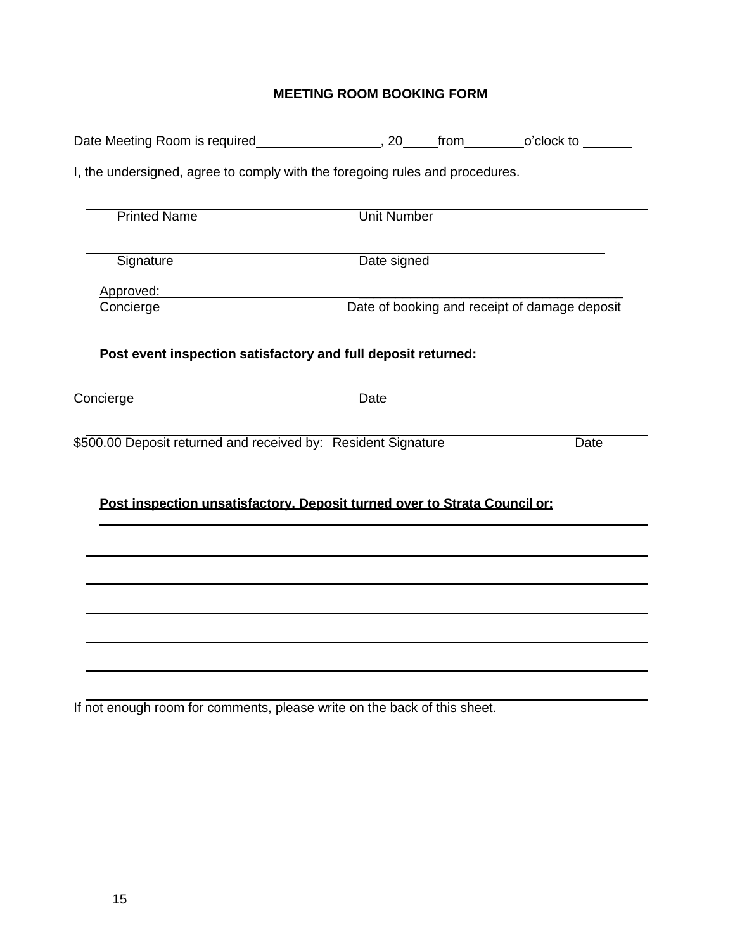# **MEETING ROOM BOOKING FORM**

| I, the undersigned, agree to comply with the foregoing rules and procedures. |                    |                                               |
|------------------------------------------------------------------------------|--------------------|-----------------------------------------------|
| <b>Printed Name</b>                                                          | <b>Unit Number</b> |                                               |
| Signature                                                                    | Date signed        |                                               |
| Approved:                                                                    |                    |                                               |
| Concierge                                                                    |                    | Date of booking and receipt of damage deposit |
| Post event inspection satisfactory and full deposit returned:                |                    |                                               |
| Concierge                                                                    | <b>Date</b>        |                                               |
| \$500.00 Deposit returned and received by: Resident Signature                |                    | <b>Date</b>                                   |
| Post inspection unsatisfactory. Deposit turned over to Strata Council or:    |                    |                                               |
|                                                                              |                    |                                               |
|                                                                              |                    |                                               |
|                                                                              |                    |                                               |
|                                                                              |                    |                                               |
|                                                                              |                    |                                               |
|                                                                              |                    |                                               |

If not enough room for comments, please write on the back of this sheet.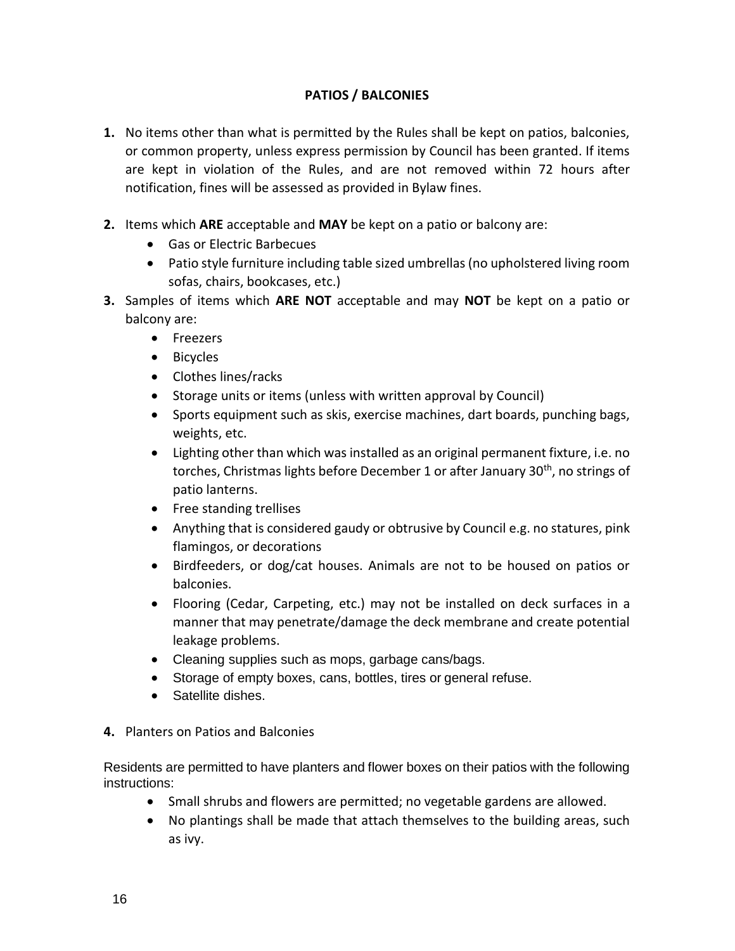## **PATIOS / BALCONIES**

- **1.** No items other than what is permitted by the Rules shall be kept on patios, balconies, or common property, unless express permission by Council has been granted. If items are kept in violation of the Rules, and are not removed within 72 hours after notification, fines will be assessed as provided in Bylaw fines.
- **2.** Items which **ARE** acceptable and **MAY** be kept on a patio or balcony are:
	- Gas or Electric Barbecues
	- Patio style furniture including table sized umbrellas (no upholstered living room sofas, chairs, bookcases, etc.)
- **3.** Samples of items which **ARE NOT** acceptable and may **NOT** be kept on a patio or balcony are:
	- Freezers
	- Bicycles
	- Clothes lines/racks
	- Storage units or items (unless with written approval by Council)
	- Sports equipment such as skis, exercise machines, dart boards, punching bags, weights, etc.
	- Lighting other than which was installed as an original permanent fixture, i.e. no torches, Christmas lights before December 1 or after January 30<sup>th</sup>, no strings of patio lanterns.
	- Free standing trellises
	- Anything that is considered gaudy or obtrusive by Council e.g. no statures, pink flamingos, or decorations
	- Birdfeeders, or dog/cat houses. Animals are not to be housed on patios or balconies.
	- Flooring (Cedar, Carpeting, etc.) may not be installed on deck surfaces in a manner that may penetrate/damage the deck membrane and create potential leakage problems.
	- Cleaning supplies such as mops, garbage cans/bags.
	- Storage of empty boxes, cans, bottles, tires or general refuse.
	- Satellite dishes.
- **4.** Planters on Patios and Balconies

Residents are permitted to have planters and flower boxes on their patios with the following instructions:

- Small shrubs and flowers are permitted; no vegetable gardens are allowed.
- No plantings shall be made that attach themselves to the building areas, such as ivy.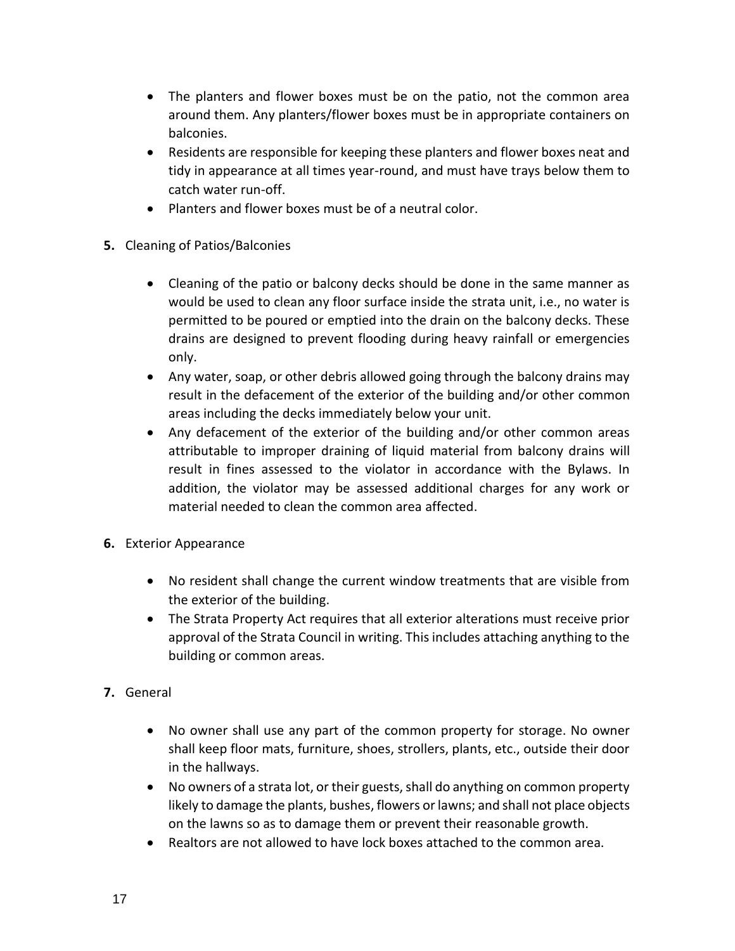- The planters and flower boxes must be on the patio, not the common area around them. Any planters/flower boxes must be in appropriate containers on balconies.
- Residents are responsible for keeping these planters and flower boxes neat and tidy in appearance at all times year-round, and must have trays below them to catch water run-off.
- Planters and flower boxes must be of a neutral color.
- **5.** Cleaning of Patios/Balconies
	- Cleaning of the patio or balcony decks should be done in the same manner as would be used to clean any floor surface inside the strata unit, i.e., no water is permitted to be poured or emptied into the drain on the balcony decks. These drains are designed to prevent flooding during heavy rainfall or emergencies only.
	- Any water, soap, or other debris allowed going through the balcony drains may result in the defacement of the exterior of the building and/or other common areas including the decks immediately below your unit.
	- Any defacement of the exterior of the building and/or other common areas attributable to improper draining of liquid material from balcony drains will result in fines assessed to the violator in accordance with the Bylaws. In addition, the violator may be assessed additional charges for any work or material needed to clean the common area affected.
- **6.** Exterior Appearance
	- No resident shall change the current window treatments that are visible from the exterior of the building.
	- The Strata Property Act requires that all exterior alterations must receive prior approval of the Strata Council in writing. This includes attaching anything to the building or common areas.
- **7.** General
	- No owner shall use any part of the common property for storage. No owner shall keep floor mats, furniture, shoes, strollers, plants, etc., outside their door in the hallways.
	- No owners of a strata lot, or their guests, shall do anything on common property likely to damage the plants, bushes, flowers or lawns; and shall not place objects on the lawns so as to damage them or prevent their reasonable growth.
	- Realtors are not allowed to have lock boxes attached to the common area.